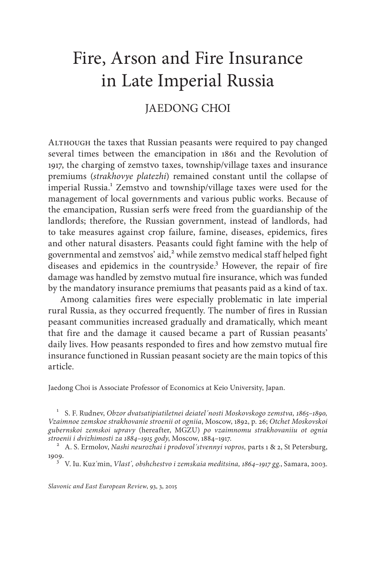# Fire, Arson and Fire Insurance in Late Imperial Russia

## JAEDONG CHOI

ALTHOUGH the taxes that Russian peasants were required to pay changed several times between the emancipation in 1861 and the Revolution of 1917, the charging of zemstvo taxes, township/village taxes and insurance premiums (*strakhovye platezhi*) remained constant until the collapse of imperial Russia.<sup>1</sup> Zemstvo and township/village taxes were used for the management of local governments and various public works. Because of the emancipation, Russian serfs were freed from the guardianship of the landlords; therefore, the Russian government, instead of landlords, had to take measures against crop failure, famine, diseases, epidemics, fires and other natural disasters. Peasants could fight famine with the help of governmental and zemstvos' aid, $^{2}$  while zemstvo medical staff helped fight diseases and epidemics in the countryside.<sup>3</sup> However, the repair of fire damage was handled by zemstvo mutual fire insurance, which was funded by the mandatory insurance premiums that peasants paid as a kind of tax.

Among calamities fires were especially problematic in late imperial rural Russia, as they occurred frequently. The number of fires in Russian peasant communities increased gradually and dramatically, which meant that fire and the damage it caused became a part of Russian peasants' daily lives. How peasants responded to fires and how zemstvo mutual fire insurance functioned in Russian peasant society are the main topics of this article.

Jaedong Choi is Associate Professor of Economics at Keio University, Japan.

<sup>1</sup> S. F. Rudnev, *Obzor dvatsatipiatiletnei deiatel´nosti Moskovskogo zemstva, 1865–1890, Vzaimnoe zemskoe strakhovanie stroenii ot ogniia*, Moscow, 1892, p. 26; *Otchet Moskovskoi gubernskoi zemskoi upravy* (hereafter, MGZU) *po vzaimnomu strakhovaniiu ot ognia* 

<sup>2</sup> A. S. Ermolov, *Nashi neurozhai i prodovol'stvennyi vopros*, parts 1 & 2, St Petersburg, 1909. <sup>3</sup> V. Iu. Kuz´min, *Vlast*´*, obshchestvo i zemskaia meditsina, 1864–1917 gg.*, Samara, 2003.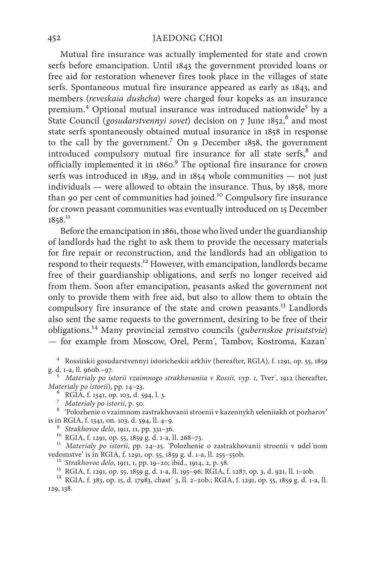Mutual fire insurance was actually implemented for state and crown serfs before emancipation. Until 1843 the government provided loans or free aid for restoration whenever fires took place in the villages of state serfs. Spontaneous mutual fire insurance appeared as early as 1843, and members (*reveskaia dushcha*) were charged four kopeks as an insurance premium.<sup>4</sup> Optional mutual insurance was introduced nationwide<sup>5</sup> by a State Council (*gosudarstvennyi sovet*) decision on 7 June 1852,<sup>6</sup> and most state serfs spontaneously obtained mutual insurance in 1858 in response to the call by the government.<sup>7</sup> On 9 December 1858, the government introduced compulsory mutual fire insurance for all state serfs, <sup>8</sup> and officially implemented it in 1860.<sup>9</sup> The optional fire insurance for crown serfs was introduced in 1839, and in 1854 whole communities — not just individuals — were allowed to obtain the insurance. Thus, by 1858, more than 90 per cent of communities had joined.<sup>10</sup> Compulsory fire insurance for crown peasant communities was eventually introduced on 15 December 1858.<sup>11</sup>

Before the emancipation in 1861, those who lived under the guardianship of landlords had the right to ask them to provide the necessary materials for fire repair or reconstruction, and the landlords had an obligation to respond to their requests.12 However, with emancipation, landlords became free of their guardianship obligations, and serfs no longer received aid from them. Soon after emancipation, peasants asked the government not only to provide them with free aid, but also to allow them to obtain the compulsory fire insurance of the state and crown peasants.<sup>13</sup> Landlords also sent the same requests to the government, desiring to be free of their obligations.14 Many provincial zemstvo councils (*gubernskoe prisutstvie*) — for example from Moscow, Orel, Perm´, Tambov, Kostroma, Kazan´

<sup>4</sup> Rossiiskii gosudarstvennyi istoricheskii arkhiv (hereafter, RGIA), f. 1291, op. 55, 1859

<sup>5</sup> *Materialy po istorii vzaimnogo strakhovaniia v Rossii, vyp. 1, Tver´, 1912* (hereafter, *Materialy po istorii*), pp. 14–23.

<sup>6</sup> RGIA, f. 1341, op. 103, d. 594, l. 3.<br>*7 Materialy po istorii*, p. 50.<br><sup>8</sup> 'Polozhenie o vzaimnom zastrakhovanii stroenii v kazennykh seleniiakh ot pozharov'

is in RGIA, f. 1341, on. 103, d. 594, ll. 4–9.<br><sup>9</sup> Strakhovoe delo, 1911, 11, pp. 331–36.<br><sup>10</sup> RGIA, f. 1291, op. 55, 1859 g. d. 1-a, ll. 268–73.<br><sup>11</sup> *Materialy po istorii*, pp. 24–25. <sup>6</sup>Polozhenie o zastrakhovanii stroe

<sup>12</sup> Strakhovoe delo, 1911, 1, pp. 19–20; ibid., 1914, 2, p. 58.<br><sup>13</sup> RGIA, f. 1291, op. 55, 1859 g. d. 1-a, ll. 195–96; RGIA, f. 1287, op. 3, d. 921, ll. 1–10b.<br><sup>14</sup> RGIA, f. 383, op. 15, d. 17983, chast´3, ll. 2–20b.; RG 129, 138.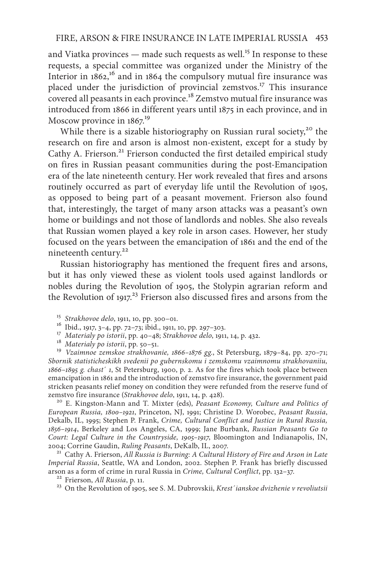and Viatka provinces  $-$  made such requests as well.<sup>15</sup> In response to these requests, a special committee was organized under the Ministry of the Interior in  $1862$ ,<sup>16</sup> and in 1864 the compulsory mutual fire insurance was placed under the jurisdiction of provincial zemstvos.17 This insurance covered all peasants in each province.18 Zemstvo mutual fire insurance was introduced from 1866 in different years until 1875 in each province, and in Moscow province in  $1867$ <sup>19</sup>

While there is a sizable historiography on Russian rural society,<sup>20</sup> the research on fire and arson is almost non-existent, except for a study by Cathy A. Frierson.<sup>21</sup> Frierson conducted the first detailed empirical study on fires in Russian peasant communities during the post-Emancipation era of the late nineteenth century. Her work revealed that fires and arsons routinely occurred as part of everyday life until the Revolution of 1905, as opposed to being part of a peasant movement. Frierson also found that, interestingly, the target of many arson attacks was a peasant's own home or buildings and not those of landlords and nobles. She also reveals that Russian women played a key role in arson cases. However, her study focused on the years between the emancipation of 1861 and the end of the nineteenth century.<sup>22</sup>

Russian historiography has mentioned the frequent fires and arsons, but it has only viewed these as violent tools used against landlords or nobles during the Revolution of 1905, the Stolypin agrarian reform and the Revolution of 1917.<sup>23</sup> Frierson also discussed fires and arsons from the

- 
- 
- 

<sup>15</sup> Strakhovoe delo, 1911, 10, pp. 300–01.<br><sup>16</sup> Ibid., 1917, 3–4, pp. 72–73; ibid., 1911, 10, pp. 297–303.<br><sup>17</sup> Materialy po istorii, pp. 40–48; Strakhovoe delo, 1911, 14, p. 432.<br><sup>18</sup> Materialy po istorii, pp. 50–51.<br><sup>19</sup> *Sbornik statisticheskikh svedenii po gubernskomu i zemskomu vzaimnomu strakhovaniiu, 1866–1895 g. chast*´ *1*, St Petersburg, 1900, p. 2. As for the fires which took place between emancipation in 1861 and the introduction of zemstvo fire insurance, the government paid stricken peasants relief money on condition they were refunded from the reserve fund of zemstvo fire insurance (Strakhovoe delo, 1911, 14, p. 428).

<sup>20</sup> E. Kingston-Mann and T. Mixter (eds), *Peasant Economy, Culture and Politics of European Russia, 1800–1921*, Princeton, NJ, 1991; Christine D. Worobec, *Peasant Russia*, Dekalb, IL, 1995; Stephen P. Frank, *Crime, Cultural Conflict and Justice in Rural Russia, 1856–1914*, Berkeley and Los Angeles, CA, 1999; Jane Burbank, *Russian Peasants Go to Court: Legal Culture in the Countryside, 1905–1917*, Bloomington and Indianapolis, IN,

<sup>21</sup> Cathy A. Frierson, All Russia is Burning: A Cultural History of Fire and Arson in Late *Imperial Russia*, Seattle, WA and London, 2002. Stephen P. Frank has briefly discussed arson as a form of crime in rural Russia in Crime, Cultural Conflict, pp. 132–37.<br><sup>22</sup> Frierson, *All Russia*, p. 11.<br><sup>23</sup> On the Revolution of 1905, see S. M. Dubrovskii, *Krest'* ianskoe dvizhenie v revoliutsii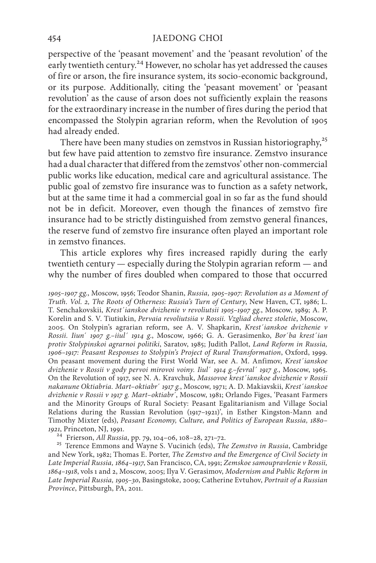perspective of the 'peasant movement' and the 'peasant revolution' of the early twentieth century.<sup>24</sup> However, no scholar has yet addressed the causes of fire or arson, the fire insurance system, its socio-economic background, or its purpose. Additionally, citing the 'peasant movement' or 'peasant revolution' as the cause of arson does not sufficiently explain the reasons for the extraordinary increase in the number of fires during the period that encompassed the Stolypin agrarian reform, when the Revolution of 1905 had already ended.

There have been many studies on zemstvos in Russian historiography,<sup>25</sup> but few have paid attention to zemstvo fire insurance. Zemstvo insurance had a dual character that differed from the zemstvos' other non-commercial public works like education, medical care and agricultural assistance. The public goal of zemstvo fire insurance was to function as a safety network, but at the same time it had a commercial goal in so far as the fund should not be in deficit. Moreover, even though the finances of zemstvo fire insurance had to be strictly distinguished from zemstvo general finances, the reserve fund of zemstvo fire insurance often played an important role in zemstvo finances.

This article explores why fires increased rapidly during the early twentieth century — especially during the Stolypin agrarian reform — and why the number of fires doubled when compared to those that occurred

*1905–1907 gg.*, Moscow, 1956; Teodor Shanin, *Russia, 1905–1907: Revolution as a Moment of Truth. Vol. 2, The Roots of Otherness: Russia's Turn of Century*, New Haven, CT, 1986; L. T. Senchakovskii, *Krest´ianskoe dvizhenie v revoliutsii 1905–1907 gg.*, Мoscow, 1989; A. P. Korelin and S. V. Tiutiukin, *Pervaia revoliutsiia v Rossii. Vzgliad cherez stoletie*, Мoscow, 2005. On Stolypin's agrarian reform, see A. V. Shapkarin, *Krest´ianskoe dvizhenie v Rossii. Iiun*´ *1907 g.–iiul´ 1914 g*., Мoscow, 1966; G. A. Gerasimenko, *Bor´ba krest´ian protiv Stolypinskoi agrarnoi politiki*, Saratov, 1985; Judith Pallot, *Land Reform in Russia, 1906–1917: Peasant Responses to Stolypin's Project of Rural Transformation*, Oxford, 1999. On peasant movement during the First World War, see A. M. Anfimov, *Krest´ianskoe dvizhenie v Rossii v gody pervoi mirovoi voiny. Iiul*´ *1914 g.–fevral´ 1917 g.*, Мoscow, 1965. On the Revolution of 1917, see N. A. Kravchuk, *Massovoe krest´ianskoe dvizhenie v Rossii nakanune Oktiabria. Mart–oktiabr*´ *1917 g.*, Мoscow, 1971; A. D. Makiavskii, *Krest´ianskoe dvizhenie v Rossii v 1917 g. Mart–oktiabr*´, Moscow, 1981; Orlando Figes, 'Peasant Farmers and the Minority Groups of Rural Society: Peasant Egalitarianism and Village Social Relations during the Russian Revolution (1917–1921)', in Esther Kingston-Mann and Timothy Mixter (eds), *Peasant Economy, Culture, and Politics of European Russia, 1880–* 1921, Princeton, NJ, 1991.<br><sup>24</sup> Frierson, *All Russia*, pp. 79, 104–06, 108–28, 271–72.

<sup>25</sup> Terence Emmons and Wayne S. Vucinich (eds), *The Zemstvo in Russia*, Cambridge and New York, 1982; Thomas E. Porter, *The Zemstvo and the Emergence of Civil Society in Late Imperial Russia, 1864–1917*, San Francisco, CA, 1991; *Zemskoe samoupravlenie v Rossii, 1864–1918*, vols 1 and 2, Moscow, 2005; Ilya V. Gerasimov, *Modernism and Public Reform in Late Imperial Russia, 1905–30*, Basingstoke, 2009; Catherine Evtuhov, *Portrait of a Russian Province*, Pittsburgh, PA, 2011.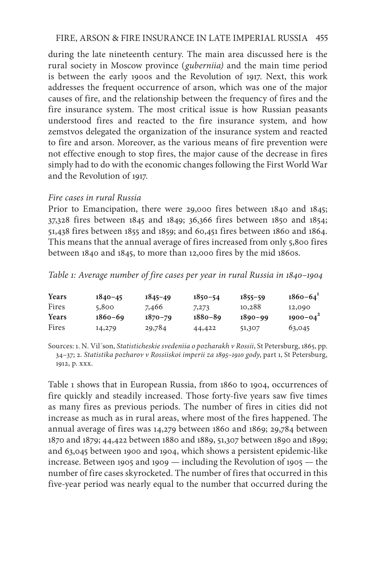## FIRE, ARSON & FIRE INSURANCE IN LATE IMPERIAL RUSSIA 455

during the late nineteenth century. The main area discussed here is the rural society in Moscow province (*guberniia)* and the main time period is between the early 1900s and the Revolution of 1917. Next, this work addresses the frequent occurrence of arson, which was one of the major causes of fire, and the relationship between the frequency of fires and the fire insurance system. The most critical issue is how Russian peasants understood fires and reacted to the fire insurance system, and how zemstvos delegated the organization of the insurance system and reacted to fire and arson. Moreover, as the various means of fire prevention were not effective enough to stop fires, the major cause of the decrease in fires simply had to do with the economic changes following the First World War and the Revolution of 1917.

## *Fire cases in rural Russia*

Prior to Emancipation, there were 29,000 fires between 1840 and 1845; 37,328 fires between 1845 and 1849; 36,366 fires between 1850 and 1854; 51,438 fires between 1855 and 1859; and 60,451 fires between 1860 and 1864. This means that the annual average of fires increased from only 5,800 fires between 1840 and 1845, to more than 12,000 fires by the mid 1860s.

*Table 1: Average number of fire cases per year in rural Russia in 1840–1904*

| Years | $1840 - 45$ | $1845 - 49$ | $1850 - 54$ | $1855 - 59$ | $1860 - 64$   |
|-------|-------------|-------------|-------------|-------------|---------------|
| Fires | 5,800       | 7,466       | 7,273       | 10,288      | 12,090        |
| Years | $1860 - 69$ | $1870 - 79$ | $1880 - 89$ | $1890 - 99$ | $1900 - 04^2$ |
| Fires | 14,279      | 29,784      | 44,422      | 51,307      | 63,045        |

Sources: 1. N. Vil´son, *Statisticheskie svedeniia o pozharakh v Rossii*, St Petersburg, 1865, pp. 34–37; 2. *Statistika pozharov v Rossiiskoi imperii za 1895–1910 gody*, part 1, St Petersburg, 1912, p. xxx.

Table 1 shows that in European Russia, from 1860 to 1904, occurrences of fire quickly and steadily increased. Those forty-five years saw five times as many fires as previous periods. The number of fires in cities did not increase as much as in rural areas, where most of the fires happened. The annual average of fires was 14,279 between 1860 and 1869; 29,784 between 1870 and 1879; 44,422 between 1880 and 1889, 51,307 between 1890 and 1899; and 63,045 between 1900 and 1904, which shows a persistent epidemic-like increase. Between 1905 and 1909 — including the Revolution of 1905 — the number of fire cases skyrocketed. The number of fires that occurred in this five-year period was nearly equal to the number that occurred during the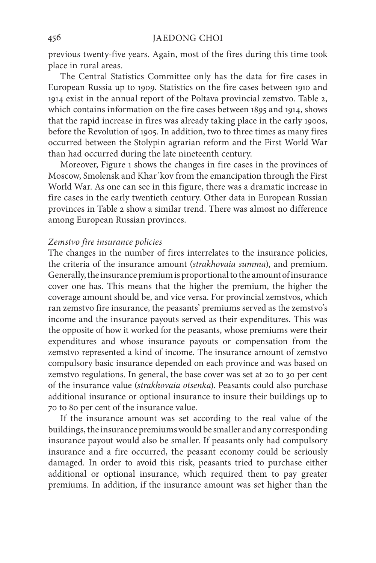previous twenty-five years. Again, most of the fires during this time took place in rural areas.

The Central Statistics Committee only has the data for fire cases in European Russia up to 1909. Statistics on the fire cases between 1910 and 1914 exist in the annual report of the Poltava provincial zemstvo. Table 2, which contains information on the fire cases between 1895 and 1914, shows that the rapid increase in fires was already taking place in the early 1900s, before the Revolution of 1905. In addition, two to three times as many fires occurred between the Stolypin agrarian reform and the First World War than had occurred during the late nineteenth century.

Moreover, Figure 1 shows the changes in fire cases in the provinces of Moscow, Smolensk and Khar´kov from the emancipation through the First World War. As one can see in this figure, there was a dramatic increase in fire cases in the early twentieth century. Other data in European Russian provinces in Table 2 show a similar trend. There was almost no difference among European Russian provinces.

#### *Zemstvo fire insurance policies*

The changes in the number of fires interrelates to the insurance policies, the criteria of the insurance amount (*strakhovaia summa*), and premium. Generally, the insurance premium is proportional to the amount of insurance cover one has. This means that the higher the premium, the higher the coverage amount should be, and vice versa. For provincial zemstvos, which ran zemstvo fire insurance, the peasants' premiums served as the zemstvo's income and the insurance payouts served as their expenditures. This was the opposite of how it worked for the peasants, whose premiums were their expenditures and whose insurance payouts or compensation from the zemstvo represented a kind of income. The insurance amount of zemstvo compulsory basic insurance depended on each province and was based on zemstvo regulations. In general, the base cover was set at 20 to 30 per cent of the insurance value (*strakhovaia otsenka*). Peasants could also purchase additional insurance or optional insurance to insure their buildings up to 70 to 80 per cent of the insurance value.

If the insurance amount was set according to the real value of the buildings, the insurance premiums would be smaller and any corresponding insurance payout would also be smaller. If peasants only had compulsory insurance and a fire occurred, the peasant economy could be seriously damaged. In order to avoid this risk, peasants tried to purchase either additional or optional insurance, which required them to pay greater premiums. In addition, if the insurance amount was set higher than the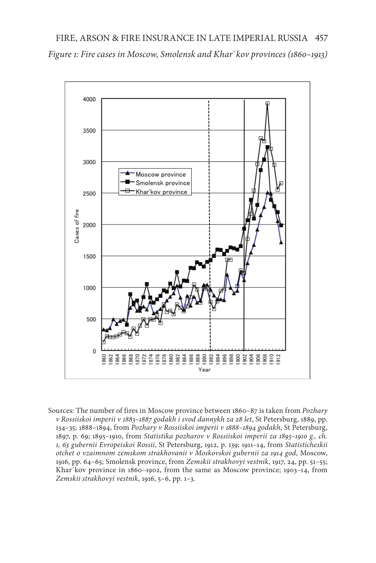

Sources: The number of fires in Moscow province between 1860–87 is taken from *Pozhary v Rossiiskoi imperii v 1883–1887 godakh i svod dannykh za 28 let*, St Petersburg, 1889, pp. 134–35; 1888–1894, from *Pozhary v Rossiiskoi imperii v 1888–1894 godakh*, St Petersburg, 1897, p. 69; 1895–1910, from *Statistika pozharov v Rossiiskoi imperii za 1895–1910 g., ch. 1, 63 gubernii Evropeiskoi Rossii*, St Petersburg, 1912, p. 139; 1911–14, from *Statisticheskii otchet o vzaimnom zemskom strakhovanii v Moskovskoi gubernii za 1914 god*, Мoscow, 1916, pp. 64–65; Smolensk province, from *Zemskii strakhovyi vestnik*, 1917, 24, pp. 51–55; Khar´kov province in 1860–1902, from the same as Moscow province; 1903–14, from *Zemskii strakhovyi vestnik*, 1916, 5–6, pp. 1–3.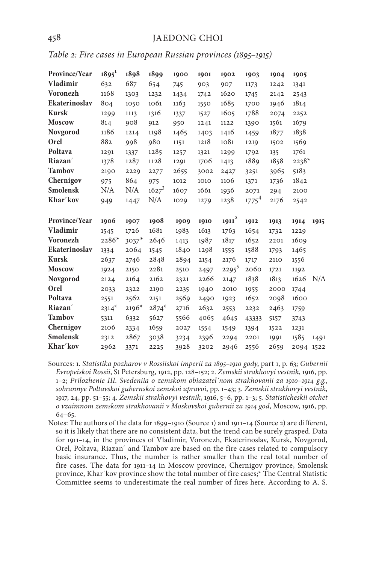|  |  |  |  |  |  |  |  | Table 2: Fire cases in European Russian provinces (1895–1915) |  |  |
|--|--|--|--|--|--|--|--|---------------------------------------------------------------|--|--|
|--|--|--|--|--|--|--|--|---------------------------------------------------------------|--|--|

| Province/Year             | $1895^1$        | 1898                        | 1899         | 1900         | 1901         | 1902             | 1903         | 1904         | 1905    |      |
|---------------------------|-----------------|-----------------------------|--------------|--------------|--------------|------------------|--------------|--------------|---------|------|
| Vladimir                  | 632             | 687                         | 654          | 745          | 903          | 907              | 1173         | 1242         | 1341    |      |
| <b>Voronezh</b>           | 1168            | 1303                        | 1232         | 1434         | 1742         | 1620             | 1745         | 2142         | 2543    |      |
| Ekaterinoslav             | 804             | 1050                        | 1061         | 1163         | 1550         | 1685             | 1700         | 1946         | 1814    |      |
| <b>Kursk</b>              | 1299            | 1113                        | 1316         | 1337         | 1527         | 1605             | 1788         | 2074         | 2252    |      |
| <b>Moscow</b>             | 814             | 908                         | 912          | 950          | 1241         | 1122             | 1390         | 1561         | 1679    |      |
| Novgorod                  | 1186            | 1214                        | 1198         | 1465         | 1403         | 1416             | 1459         | 1877         | 1838    |      |
| Orel                      | 882             | 998                         | 980          | 1151         | 1218         | 1081             | 1219         | 1502         | 1569    |      |
| Poltava                   | 1291            | 1337                        | 1285         | 1257         | 1321         | 1299             | 1792         | 135          | 1761    |      |
| Riazan                    | 1378            | 1287                        | 1128         | 1291         | 1706         | 1413             | 1889         | 1858         | $2238*$ |      |
| <b>Tambov</b>             | 2190            | 2229                        | 2277         | 2655         | 3002         | 2427             | 3251         | 3965         | 5183    |      |
| Chernigov                 | 975             | 864                         | 975          | 1012         | 1010         | 1106             | 1371         | 1736         | 1842    |      |
| <b>Smolensk</b>           | N/A             | N/A                         | $1627^3$     | 1607         | 1661         | 1936             | 2071         | 294          | 2100    |      |
| Khar'kov                  | 949             | 1447                        | N/A          | 1029         | 1279         | 1238             | $1775^4$     | 2176         | 2542    |      |
|                           |                 |                             |              |              |              |                  |              |              |         |      |
|                           | 1906            | 1907                        | 1908         | 1909         | 1910         |                  | 1912         |              | 1914    | 1915 |
| Province/Year<br>Vladimir |                 | 1726                        | 1681         | 1983         |              | $1911^2$<br>1763 | 1654         | 1913         | 1229    |      |
| <b>Voronezh</b>           | 1545<br>$2286*$ |                             |              | 1413         | 1613         |                  |              | 1732<br>2201 | 1609    |      |
| Ekaterinoslav             | 1334            | $3037$ <sup>*</sup><br>2064 | 2646<br>1545 |              | 1987<br>1298 | 1817<br>1555     | 1652<br>1588 | 1793         | 1465    |      |
| <b>Kursk</b>              | 2637            | 2746                        | 2848         | 1840<br>2894 | 2154         | 2176             | 1717         | 2110         | 1556    |      |
| <b>Moscow</b>             | 1924            | 2150                        | 2281         | 2510         | 2497         | $2295^5$         | 2060         | 1721         | 1192    |      |
| Novgorod                  | 2124            | 2164                        | 2162         | 2321         | 2266         | 2147             | 1838         | 1813         | 1626    | N/A  |
| Orel                      | 2033            | 2322                        | 2190         | 2235         | 1940         | 2010             | 1955         | 2000         | 1744    |      |
| Poltava                   | 2551            | 2562                        | 2151         | 2569         | 2490         | 1923             | 1652         | 2098         | 1600    |      |
| Riazan                    | $2314*$         | $2196*$                     | $2874*$      | 2716         | 2632         | 2553             | 2232         | 2463         | 1759    |      |
| <b>Tambov</b>             | 5311            | 6332                        | 5627         | 5566         | 4065         | 4645             | 43333        | 5157         | 3743    |      |
| Chernigov                 | 2106            | 2334                        | 1659         | 2027         | 1554         | 1549             | 1394         | 1522         | 1231    |      |
| Smolensk                  | 2312            | 2867                        | 3038         | 3234         | 2396         | 2294             | 2201         | 1991         | 1585    | 1491 |

- Sources: 1. *Statistika pozharov v Rossiiskoi imperii za 1895–1910 gody*, part 1, p. 63; *Gubernii Evropeiskoi Rossii*, St Petersburg, 1912, pp. 128–152; 2. *Zemskii strakhovyi vestnik*, 1916, pp. 1–2; *Prilozhenie III. Svedeniia o zemskom obiazatel´nom strakhovanii za 1910–1914 g.g.*, *sobrannye Poltavskoi gubernskoi zemskoi upravoi*, pp. 1–43; 3. *Zemskii strakhovyi vestnik*, 1917, 24, pp. 51–55; 4. *Zemskii strakhovyi vestnik*, 1916, 5–6, pp. 1–3; 5. *Statisticheskii otchet o vzaimnom zemskom strakhovanii v Moskovskoi gubernii za 1914 god*, Мoscow, 1916, pp. 64–65.
- Notes: The authors of the data for 1899–1910 (Source 1) and 1911–14 (Source 2) are different, so it is likely that there are no consistent data, but the trend can be surely grasped. Data for 1911–14, in the provinces of Vladimir, Voronezh, Ekaterinoslav, Kursk, Novgorod, Orel, Poltava, Riazan´ and Tambov are based on the fire cases related to compulsory basic insurance. Thus, the number is rather smaller than the real total number of fire cases. The data for 1911–14 in Moscow province, Chernigov province, Smolensk province, Khar´kov province show the total number of fire cases;\* The Central Statistic Committee seems to underestimate the real number of fires here. According to A. S.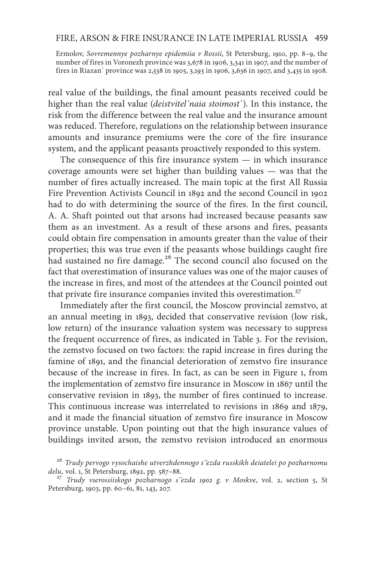## FIRE, ARSON & FIRE INSURANCE IN LATE IMPERIAL RUSSIA 459

Ermolov, *Sovremennye pozharnye epidemiia v Rossii*, St Petersburg, 1910, pp. 8–9, the number of fires in Voronezh province was 3,678 in 1906, 3,341 in 1907, and the number of fires in Riazan´ province was 2,538 in 1905, 3,193 in 1906, 3,636 in 1907, and 3,435 in 1908.

real value of the buildings, the final amount peasants received could be higher than the real value (*deistvitel´naia stoimost*´). In this instance, the risk from the difference between the real value and the insurance amount was reduced. Therefore, regulations on the relationship between insurance amounts and insurance premiums were the core of the fire insurance system, and the applicant peasants proactively responded to this system.

The consequence of this fire insurance system — in which insurance coverage amounts were set higher than building values — was that the number of fires actually increased. The main topic at the first All Russia Fire Prevention Activists Council in 1892 and the second Council in 1902 had to do with determining the source of the fires. In the first council, A. A. Shaft pointed out that arsons had increased because peasants saw them as an investment. As a result of these arsons and fires, peasants could obtain fire compensation in amounts greater than the value of their properties; this was true even if the peasants whose buildings caught fire had sustained no fire damage.<sup>26</sup> The second council also focused on the fact that overestimation of insurance values was one of the major causes of the increase in fires, and most of the attendees at the Council pointed out that private fire insurance companies invited this overestimation. $27$ 

Immediately after the first council, the Moscow provincial zemstvo, at an annual meeting in 1893, decided that conservative revision (low risk, low return) of the insurance valuation system was necessary to suppress the frequent occurrence of fires, as indicated in Table 3. For the revision, the zemstvo focused on two factors: the rapid increase in fires during the famine of 1891, and the financial deterioration of zemstvo fire insurance because of the increase in fires. In fact, as can be seen in Figure 1, from the implementation of zemstvo fire insurance in Moscow in 1867 until the conservative revision in 1893, the number of fires continued to increase. This continuous increase was interrelated to revisions in 1869 and 1879, and it made the financial situation of zemstvo fire insurance in Moscow province unstable. Upon pointing out that the high insurance values of buildings invited arson, the zemstvo revision introduced an enormous

<sup>&</sup>lt;sup>26</sup> *Trudy pervogo vysochaishe utverzhdennogo s''ezda russkikh deiatelei po pozharnomu delu, vol. 1, St Petersburg, 1892, pp. 587–88.* 

<sup>&</sup>lt;sup>27</sup> Trudy vserossiiskogo pozharnogo s''ezda 1902 g. v Moskve, vol. 2, section 5, St Petersburg, 1903, pp. 60–61, 81, 143, 207.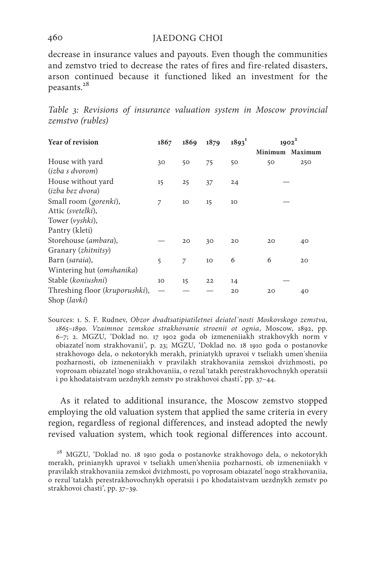decrease in insurance values and payouts. Even though the communities and zemstvo tried to decrease the rates of fires and fire-related disasters, arson continued because it functioned liked an investment for the peasants.28

*Table 3: Revisions of insurance valuation system in Moscow provincial zemstvo (rubles)*

| <b>Year of revision</b>        | 1867 | 1869 | 1879 | $1893^1$ |         | $1902^2$ |
|--------------------------------|------|------|------|----------|---------|----------|
|                                |      |      |      |          | Minimum | Maximum  |
| House with yard                | 30   | 50   | 75   | 50       | 50      | 250      |
| ( <i>izba s dvorom</i> )       |      |      |      |          |         |          |
| House without yard             | 15   | 25   | 37   | 24       |         |          |
| ( <i>izba bez dvora</i> )      |      |      |      |          |         |          |
| Small room ( <i>gorenki</i> ), | 7    | 10   | 15   | 10       |         |          |
| Attic (svetelki),              |      |      |      |          |         |          |
| Tower ( <i>vyshki</i> ),       |      |      |      |          |         |          |
| Pantry (kleti)                 |      |      |      |          |         |          |
| Storehouse (ambara),           |      | 20   | 30   | 20       | 20      | 40       |
| Granary (zhitnitsy)            |      |      |      |          |         |          |
| Barn (saraia),                 | 5    | 7    | 10   | 6        | 6       | 20       |
| Wintering hut (omshanika)      |      |      |      |          |         |          |
| Stable (koniushni)             | 10   | 15   | 22   | 14       |         |          |
| Threshing floor (kruporushki), |      |      |      | 20       | 20      | 40       |
| Shop ( <i>lavki</i> )          |      |      |      |          |         |          |

Sources: 1. S. F. Rudnev, *Obzor dvadtsatipiatiletnei deiatel´nosti Moskovskogo zemstva, 1865–1890. Vzaimnoe zemskoe strakhovanie stroenii ot ognia*, Moscow, 1892, pp. 6–7; 2. MGZU, 'Doklad no. 17 1902 goda ob izmeneniiakh strakhovykh norm v obiazatel´nom strakhovanii', p. 23; MGZU, 'Doklad no. 18 1910 goda o postanovke strakhovogo dela, o nekotorykh merakh, priniatykh upravoi v tseliakh umen´sheniia pozharnosti, ob izmeneniiakh v pravilakh strakhovaniia zemskoi dvizhmosti, po voprosam obiazatel´nogo strakhovaniia, o rezul´tatakh perestrakhovochnykh operatsii i po khodataistvam uezdnykh zemstv po strakhovoi chasti', pp. 37–44.

As it related to additional insurance, the Moscow zemstvo stopped employing the old valuation system that applied the same criteria in every region, regardless of regional differences, and instead adopted the newly revised valuation system, which took regional differences into account.

<sup>28</sup> MGZU, 'Doklad no. 18 1910 goda o postanovke strakhovogo dela, o nekotorykh merakh, prinianykh upravoi v tseliakh umen'sheniia pozharnosti, ob izmeneniiakh v pravilakh strakhovaniia zemskoi dvizhmosti, po voprosam obiazatel´nogo strakhovaniia, o rezul´tatakh perestrakhovochnykh operatsii i po khodataistvam uezdnykh zemstv po strakhovoi chasti', pp. 37–39.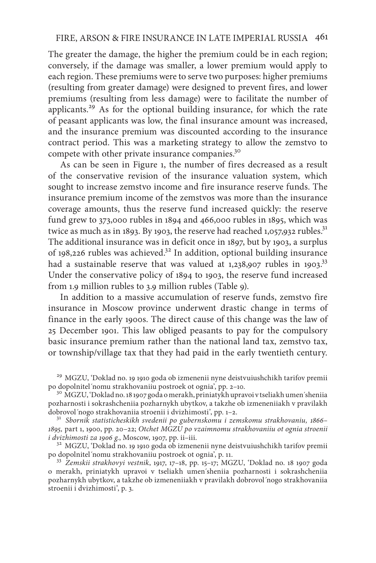The greater the damage, the higher the premium could be in each region; conversely, if the damage was smaller, a lower premium would apply to each region. These premiums were to serve two purposes: higher premiums (resulting from greater damage) were designed to prevent fires, and lower premiums (resulting from less damage) were to facilitate the number of applicants.<sup>29</sup> As for the optional building insurance, for which the rate of peasant applicants was low, the final insurance amount was increased, and the insurance premium was discounted according to the insurance contract period. This was a marketing strategy to allow the zemstvo to compete with other private insurance companies.<sup>30</sup>

As can be seen in Figure 1, the number of fires decreased as a result of the conservative revision of the insurance valuation system, which sought to increase zemstvo income and fire insurance reserve funds. The insurance premium income of the zemstvos was more than the insurance coverage amounts, thus the reserve fund increased quickly: the reserve fund grew to 373,000 rubles in 1894 and 466,000 rubles in 1895, which was twice as much as in 1893. By 1903, the reserve had reached 1,057,932 rubles. $31$ The additional insurance was in deficit once in 1897, but by 1903, a surplus of 198,226 rubles was achieved.<sup>32</sup> In addition, optional building insurance had a sustainable reserve that was valued at  $1,238,907$  rubles in  $1903$ <sup>33</sup> Under the conservative policy of 1894 to 1903, the reserve fund increased from 1.9 million rubles to 3.9 million rubles (Table 9).

In addition to a massive accumulation of reserve funds, zemstvo fire insurance in Moscow province underwent drastic change in terms of finance in the early 1900s. The direct cause of this change was the law of 25 December 1901. This law obliged peasants to pay for the compulsory basic insurance premium rather than the national land tax, zemstvo tax, or township/village tax that they had paid in the early twentieth century.

<sup>29</sup> MGZU, 'Doklad no. 19 1910 goda ob izmenenii nyne deistvuiushchikh tarifov premii po dopolnitel 'nomu strakhovaniiu postroek ot ognia', pp. 2–10.

<sup>30</sup> MGZU, 'Doklad no. 18 1907 goda o merakh, priniatykh upravoi v tseliakh umen´sheniia pozharnosti i sokrashcheniia pozharnykh ubytkov, a takzhe ob izmeneniiakh v pravilakh

<sup>31</sup> Sbornik statisticheskikh svedenii po gubernskomu i zemskomu strakhovaniu, 1866– *1895,* part 1, 1900, pp. 20–22; *Otchet MGZU po vzaimnomu strakhovaniiu ot ognia stroenii* 

<sup>32</sup> MGZU, 'Doklad no. 19 1910 goda ob izmenenii nyne deistvuiushchikh tarifov premii po dopolnitel 'nomu strakhovaniiu postroek ot ognia', p. 11.

<sup>33</sup> Zemskii strakhovyi vestnik, 1917, 17-18, pp. 15-17; MGZU, 'Doklad no. 18 1907 goda o merakh, priniatykh upravoi v tseliakh umen´sheniia pozharnosti i sokrashcheniia pozharnykh ubytkov, a takzhe ob izmeneniiakh v pravilakh dobrovol´nogo strakhovaniia stroenii i dvizhimosti', p. 3.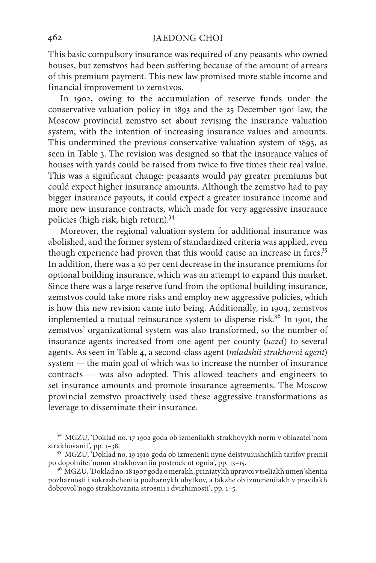This basic compulsory insurance was required of any peasants who owned houses, but zemstvos had been suffering because of the amount of arrears of this premium payment. This new law promised more stable income and financial improvement to zemstvos.

In 1902, owing to the accumulation of reserve funds under the conservative valuation policy in 1893 and the 25 December 1901 law, the Moscow provincial zemstvo set about revising the insurance valuation system, with the intention of increasing insurance values and amounts. This undermined the previous conservative valuation system of 1893, as seen in Table 3. The revision was designed so that the insurance values of houses with yards could be raised from twice to five times their real value. This was a significant change: peasants would pay greater premiums but could expect higher insurance amounts. Although the zemstvo had to pay bigger insurance payouts, it could expect a greater insurance income and more new insurance contracts, which made for very aggressive insurance policies (high risk, high return).<sup>34</sup>

Moreover, the regional valuation system for additional insurance was abolished, and the former system of standardized criteria was applied, even though experience had proven that this would cause an increase in fires.<sup>35</sup> In addition, there was a 30 per cent decrease in the insurance premiums for optional building insurance, which was an attempt to expand this market. Since there was a large reserve fund from the optional building insurance, zemstvos could take more risks and employ new aggressive policies, which is how this new revision came into being. Additionally, in 1904, zemstvos implemented a mutual reinsurance system to disperse risk.<sup>36</sup> In 1901, the zemstvos' organizational system was also transformed, so the number of insurance agents increased from one agent per county (*uezd*) to several agents. As seen in Table 4, a second-class agent (*mladshii strakhovoi agent*) system — the main goal of which was to increase the number of insurance contracts — was also adopted. This allowed teachers and engineers to set insurance amounts and promote insurance agreements. The Moscow provincial zemstvo proactively used these aggressive transformations as leverage to disseminate their insurance.

 $^{34}$  MGZU, 'Doklad no. 17 1902 goda ob izmeniiakh strakhovykh norm v obiazatel´nom strakhovanii', pp. 1–38.

<sup>&</sup>lt;sup>35</sup> MGZU, 'Doklad no. 19 1910 goda ob izmenenii nyne deistvuiushchikh tarifov premii po dopolnitel´nomu strakhovaniiu postroek ot ognia', pp. 13–15.<br><sup>36</sup> MGZU, 'Doklad no. 18 1907 goda o merakh, priniatykh upravoi v tseliakh umen´sheniia

pozharnosti i sokrashcheniia pozharnykh ubytkov, a takzhe ob izmeneniiakh v pravilakh dobrovol´nogo strakhovaniia stroenii i dvizhimosti', pp. 1–5.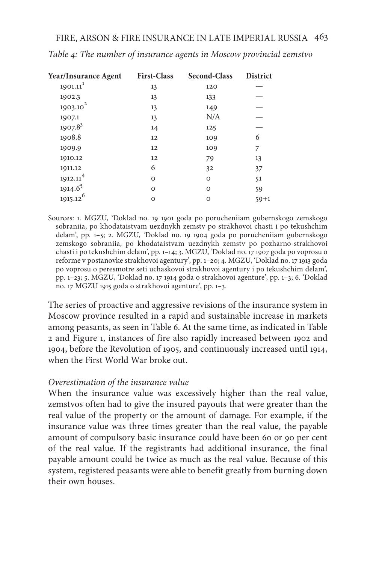| <b>Year/Insurance Agent</b> | <b>First-Class</b> | <b>Second-Class</b> | <b>District</b> |
|-----------------------------|--------------------|---------------------|-----------------|
| $1901.11$ <sup>1</sup>      | 13                 | 120                 |                 |
| 1902.3                      | 13                 | 133                 |                 |
| 1903.10 <sup>2</sup>        | 13                 | 149                 |                 |
| 1907.1                      | 13                 | N/A                 |                 |
| $1907.8^3$                  | 14                 | 125                 |                 |
| 1908.8                      | 12                 | 109                 | 6               |
| 1909.9                      | 12                 | 109                 | 7               |
| 1910.12                     | 12                 | 79                  | 13              |
| 1911.12                     | 6                  | 32                  | 37              |
| 1912.11 <sup>4</sup>        | O                  | O                   | 51              |
| 1914.6 <sup>5</sup>         | $\Omega$           | $\Omega$            | 59              |
| $1915.12^{6}$               | O                  | O                   | $59 + 1$        |

*Table 4: The number of insurance agents in Moscow provincial zemstvo*

Sources: 1. MGZU, 'Doklad no. 19 1901 goda po porucheniiam gubernskogo zemskogo sobraniia, po khodataistvam uezdnykh zemstv po strakhovoi chasti i po tekushchim delam', pp. 1–5; 2. MGZU, 'Doklad no. 19 1904 goda po porucheniiam gubernskogo zemskogo sobraniia, po khodataistvam uezdnykh zemstv po pozharno-strakhovoi chasti i po tekushchim delam', pp. 1–14; 3. MGZU, 'Doklad no. 17 1907 goda po voprosu o reforme v postanovke strakhovoi agentury', pp. 1–20; 4. MGZU, 'Doklad no. 17 1913 goda po voprosu o peresmotre seti uchaskovoi strakhovoi agentury i po tekushchim delam', pp. 1–23; 5. MGZU, 'Doklad no. 17 1914 goda o strakhovoi agenture', pp. 1–3; 6. 'Doklad no. 17 MGZU 1915 goda o strakhovoi agenture', pp. 1–3.

The series of proactive and aggressive revisions of the insurance system in Moscow province resulted in a rapid and sustainable increase in markets among peasants, as seen in Table 6. At the same time, as indicated in Table 2 and Figure 1, instances of fire also rapidly increased between 1902 and 1904, before the Revolution of 1905, and continuously increased until 1914, when the First World War broke out.

## *Overestimation of the insurance value*

When the insurance value was excessively higher than the real value, zemstvos often had to give the insured payouts that were greater than the real value of the property or the amount of damage. For example, if the insurance value was three times greater than the real value, the payable amount of compulsory basic insurance could have been 60 or 90 per cent of the real value. If the registrants had additional insurance, the final payable amount could be twice as much as the real value. Because of this system, registered peasants were able to benefit greatly from burning down their own houses.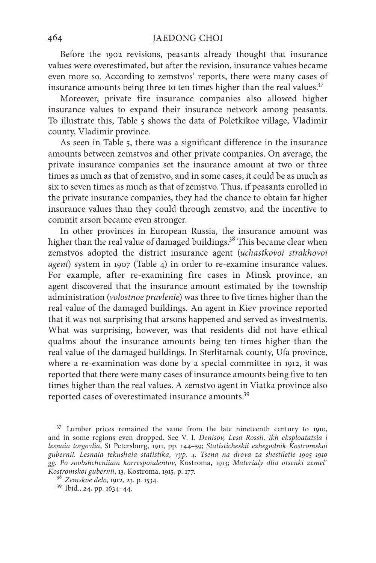Before the 1902 revisions, peasants already thought that insurance values were overestimated, but after the revision, insurance values became even more so. According to zemstvos' reports, there were many cases of insurance amounts being three to ten times higher than the real values.<sup>37</sup>

Moreover, private fire insurance companies also allowed higher insurance values to expand their insurance network among peasants. To illustrate this, Table 5 shows the data of Poletkikoe village, Vladimir county, Vladimir province.

As seen in Table 5, there was a significant difference in the insurance amounts between zemstvos and other private companies. On average, the private insurance companies set the insurance amount at two or three times as much as that of zemstvo, and in some cases, it could be as much as six to seven times as much as that of zemstvo. Thus, if peasants enrolled in the private insurance companies, they had the chance to obtain far higher insurance values than they could through zemstvo, and the incentive to commit arson became even stronger.

In other provinces in European Russia, the insurance amount was higher than the real value of damaged buildings.<sup>38</sup> This became clear when zemstvos adopted the district insurance agent (*uchastkovoi strakhovoi agent*) system in 1907 (Table 4) in order to re-examine insurance values. For example, after re-examining fire cases in Minsk province, an agent discovered that the insurance amount estimated by the township administration (*volostnoe pravlenie*) was three to five times higher than the real value of the damaged buildings. An agent in Kiev province reported that it was not surprising that arsons happened and served as investments. What was surprising, however, was that residents did not have ethical qualms about the insurance amounts being ten times higher than the real value of the damaged buildings. In Sterlitamak county, Ufa province, where a re-examination was done by a special committee in 1912, it was reported that there were many cases of insurance amounts being five to ten times higher than the real values. A zemstvo agent in Viatka province also reported cases of overestimated insurance amounts.<sup>39</sup>

 $37$  Lumber prices remained the same from the late nineteenth century to 1910, and in some regions even dropped. See V. I. *Denisov, Lesa Rossii, ikh eksploatatsia i lesnaia torgovlia*, St Petersburg, 1911, pp. 144–59; *Statisticheskii ezhegodnik Kostromskoi gubernii. Lesnaia tekushaia statistika, vyp. 4. Tsena na drova za shestiletie 1905–1910 gg. Po soobshcheniiam korrespondentov*, Kostroma, 1913; *Materialy dlia otsenki zemel*´ *Kostromskoi gubernii*, 13, Kostroma, 1915, p. 177. <sup>38</sup> *Zemskoe delo*, 1912, 23, p. 1534. <sup>39</sup> Ibid., 24, pp. 1634–44.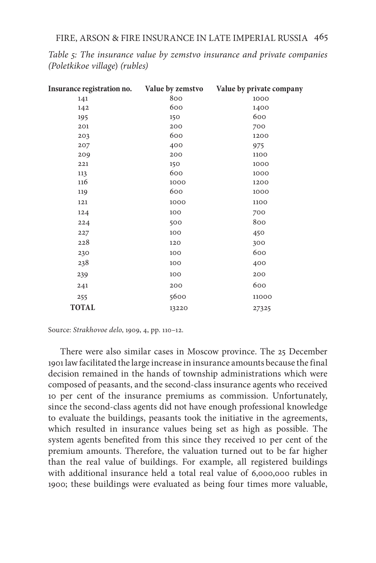| Insurance registration no. | Value by zemstvo | Value by private company |
|----------------------------|------------------|--------------------------|
| 141                        | 800              | 1000                     |
| 142                        | 600              | 1400                     |
| 195                        | 150              | 600                      |
| 201                        | 200              | 700                      |
| 203                        | 600              | 1200                     |
| 207                        | 400              | 975                      |
| 209                        | 200              | 1100                     |
| 221                        | 150              | 1000                     |
| 113                        | 600              | 1000                     |
| 116                        | 1000             | 1200                     |
| 119                        | 600              | 1000                     |
| 121                        | 1000             | 1100                     |
| 124                        | 100              | 700                      |
| 224                        | 500              | 800                      |
| 227                        | 100              | 450                      |
| 228                        | 120              | 300                      |
| 230                        | 100              | 600                      |
| 238                        | 100              | 400                      |
| 239                        | 100              | 200                      |
| 241                        | 200              | 600                      |
| 255                        | 5600             | 11000                    |
| <b>TOTAL</b>               | 13220            | 27325                    |

*Table 5: The insurance value by zemstvo insurance and private companies (Poletkikoe village*) *(rubles)*

Source: *Strakhovoe delo*, 1909, 4, pp. 110–12.

There were also similar cases in Moscow province. The 25 December 1901 law facilitated the large increase in insurance amounts because the final decision remained in the hands of township administrations which were composed of peasants, and the second-class insurance agents who received 10 per cent of the insurance premiums as commission. Unfortunately, since the second-class agents did not have enough professional knowledge to evaluate the buildings, peasants took the initiative in the agreements, which resulted in insurance values being set as high as possible. The system agents benefited from this since they received 10 per cent of the premium amounts. Therefore, the valuation turned out to be far higher than the real value of buildings. For example, all registered buildings with additional insurance held a total real value of 6,000,000 rubles in 1900; these buildings were evaluated as being four times more valuable,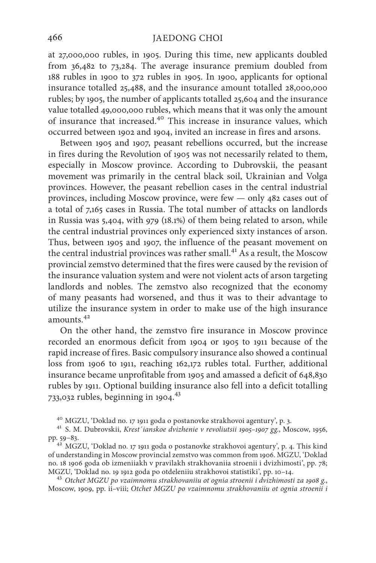at 27,000,000 rubles, in 1905. During this time, new applicants doubled from 36,482 to 73,284. The average insurance premium doubled from 188 rubles in 1900 to 372 rubles in 1905. In 1900, applicants for optional insurance totalled 25,488, and the insurance amount totalled 28,000,000 rubles; by 1905, the number of applicants totalled 25,604 and the insurance value totalled 49,000,000 rubles, which means that it was only the amount of insurance that increased.40 This increase in insurance values, which occurred between 1902 and 1904, invited an increase in fires and arsons.

Between 1905 and 1907, peasant rebellions occurred, but the increase in fires during the Revolution of 1905 was not necessarily related to them, especially in Moscow province. According to Dubrovskii, the peasant movement was primarily in the central black soil, Ukrainian and Volga provinces. However, the peasant rebellion cases in the central industrial provinces, including Moscow province, were few — only 482 cases out of a total of 7,165 cases in Russia. The total number of attacks on landlords in Russia was 5,404, with 979 (18.1%) of them being related to arson, while the central industrial provinces only experienced sixty instances of arson. Thus, between 1905 and 1907, the influence of the peasant movement on the central industrial provinces was rather small.<sup>41</sup> As a result, the Moscow provincial zemstvo determined that the fires were caused by the revision of the insurance valuation system and were not violent acts of arson targeting landlords and nobles. The zemstvo also recognized that the economy of many peasants had worsened, and thus it was to their advantage to utilize the insurance system in order to make use of the high insurance amounts.<sup>42</sup>

On the other hand, the zemstvo fire insurance in Moscow province recorded an enormous deficit from 1904 or 1905 to 1911 because of the rapid increase of fires. Basic compulsory insurance also showed a continual loss from 1906 to 1911, reaching 162,172 rubles total. Further, additional insurance became unprofitable from 1905 and amassed a deficit of 648,830 rubles by 1911. Optional building insurance also fell into a deficit totalling 733,032 rubles, beginning in 1904.<sup>43</sup>

<sup>43</sup> Otchet MGZU po vzaimnomu strakhovaniiu ot ognia stroenii i dvizhimosti za 1908 g., Мoscow, 1909, pp. ii–viii; *Otchet MGZU po vzaimnomu strakhovaniiu ot ognia stroenii i* 

<sup>40</sup> MGZU, 'Doklad no. 17 1911 goda o postanovke strakhovoi agentury', p. 3. <sup>41</sup> S. M. Dubrovskii, *Krest´ianskoe dvizhenie v revoliutsii 1905–1907 gg.*, Мoscow, 1956,

<sup>&</sup>lt;sup>42</sup> MGZU, 'Doklad no. 17 1911 goda o postanovke strakhovoi agentury', p. 4. This kind of understanding in Moscow provincial zemstvo was common from 1906. MGZU, 'Doklad no. 18 1906 goda ob izmeniiakh v pravilakh strakhovaniia stroenii i dvizhimosti', pp. 78;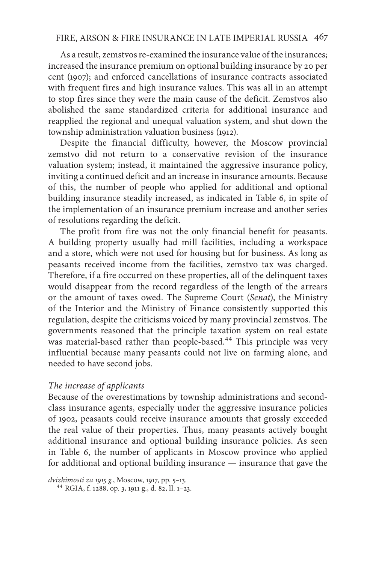As a result, zemstvos re-examined the insurance value of the insurances; increased the insurance premium on optional building insurance by 20 per cent (1907); and enforced cancellations of insurance contracts associated with frequent fires and high insurance values. This was all in an attempt to stop fires since they were the main cause of the deficit. Zemstvos also abolished the same standardized criteria for additional insurance and reapplied the regional and unequal valuation system, and shut down the township administration valuation business (1912).

Despite the financial difficulty, however, the Moscow provincial zemstvo did not return to a conservative revision of the insurance valuation system; instead, it maintained the aggressive insurance policy, inviting a continued deficit and an increase in insurance amounts. Because of this, the number of people who applied for additional and optional building insurance steadily increased, as indicated in Table 6, in spite of the implementation of an insurance premium increase and another series of resolutions regarding the deficit.

The profit from fire was not the only financial benefit for peasants. A building property usually had mill facilities, including a workspace and a store, which were not used for housing but for business. As long as peasants received income from the facilities, zemstvo tax was charged. Therefore, if a fire occurred on these properties, all of the delinquent taxes would disappear from the record regardless of the length of the arrears or the amount of taxes owed. The Supreme Court (*Senat*), the Ministry of the Interior and the Ministry of Finance consistently supported this regulation, despite the criticisms voiced by many provincial zemstvos. The governments reasoned that the principle taxation system on real estate was material-based rather than people-based.<sup>44</sup> This principle was very influential because many peasants could not live on farming alone, and needed to have second jobs.

## *The increase of applicants*

Because of the overestimations by township administrations and secondclass insurance agents, especially under the aggressive insurance policies of 1902, peasants could receive insurance amounts that grossly exceeded the real value of their properties. Thus, many peasants actively bought additional insurance and optional building insurance policies. As seen in Table 6, the number of applicants in Moscow province who applied for additional and optional building insurance — insurance that gave the

*dvizhimosti za 1915 g.*, Мoscow, 1917, pp. 5–13. <sup>44</sup> RGIA, f. 1288, op. 3, 1911 g., d. 82, ll. 1–23.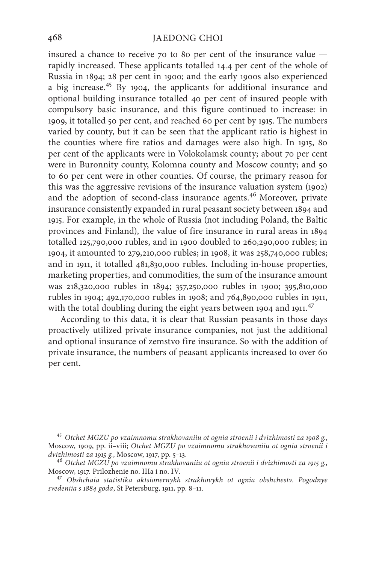insured a chance to receive 70 to 80 per cent of the insurance value rapidly increased. These applicants totalled 14.4 per cent of the whole of Russia in 1894; 28 per cent in 1900; and the early 1900s also experienced a big increase.<sup>45</sup> By 1904, the applicants for additional insurance and optional building insurance totalled 40 per cent of insured people with compulsory basic insurance, and this figure continued to increase: in 1909, it totalled 50 per cent, and reached 60 per cent by 1915. The numbers varied by county, but it can be seen that the applicant ratio is highest in the counties where fire ratios and damages were also high. In 1915, 80 per cent of the applicants were in Volokolamsk county; about 70 per cent were in Buronnity county, Kolomna county and Moscow county; and 50 to 60 per cent were in other counties. Of course, the primary reason for this was the aggressive revisions of the insurance valuation system (1902) and the adoption of second-class insurance agents.<sup>46</sup> Moreover, private insurance consistently expanded in rural peasant society between 1894 and 1915. For example, in the whole of Russia (not including Poland, the Baltic provinces and Finland), the value of fire insurance in rural areas in 1894 totalled 125,790,000 rubles, and in 1900 doubled to 260,290,000 rubles; in 1904, it amounted to 279,210,000 rubles; in 1908, it was 258,740,000 rubles; and in 1911, it totalled 481,830,000 rubles. Including in-house properties, marketing properties, and commodities, the sum of the insurance amount was 218,320,000 rubles in 1894; 357,250,000 rubles in 1900; 395,810,000 rubles in 1904; 492,170,000 rubles in 1908; and 764,890,000 rubles in 1911, with the total doubling during the eight years between 1904 and 1911. $47$ 

According to this data, it is clear that Russian peasants in those days proactively utilized private insurance companies, not just the additional and optional insurance of zemstvo fire insurance. So with the addition of private insurance, the numbers of peasant applicants increased to over 60 per cent.

<sup>45</sup> *Otchet MGZU po vzaimnomu strakhovaniiu ot ognia stroenii i dvizhimosti za 1908 g.*, Мoscow, 1909, pp. ii–viii; *Otchet MGZU po vzaimnomu strakhovaniiu ot ognia stroenii i* 

*dvizhimosti za 1915 g.*, Мoscow, 1917, pp. 5–13. <sup>46</sup> *Otchet MGZU po vzaimnomu strakhovaniiu ot ognia stroenii i dvizhimosti za 1915 g.*, Moscow, 1917. Prilozhenie no. IIIa i no. IV. <sup>47</sup> *Obshchaia statistika aktsionernykh strakhovykh ot ognia obshchestv. Pogodnye* 

*svedeniia s 1884 goda*, St Petersburg, 1911, pp. 8–11.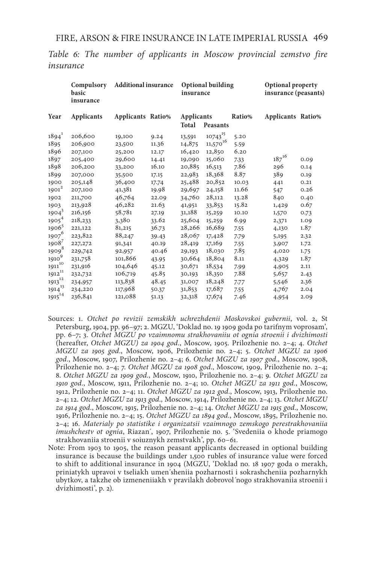*Table 6: The number of applicants in Moscow provincial zemstvo fire insurance*

|                   | Compulsory<br>basic<br>insurance | <b>Additional insurance</b> |       | insurance                  | <b>Optional building</b> |        | Optional property<br>insurance (peasants) |      |
|-------------------|----------------------------------|-----------------------------|-------|----------------------------|--------------------------|--------|-------------------------------------------|------|
| Year              | <b>Applicants</b>                | Applicants Ratio%           |       | <b>Applicants</b><br>Total | Peasants                 | Ratio% | Applicants Ratio%                         |      |
| $1894^1$          | 206,600                          | 19,100                      | 9.24  | 13,591                     | $10743^{15}$             | 5.20   |                                           |      |
| 1895              | 206,900                          | 23,500                      | 11.36 | 14,875                     | 16<br>11,570             | 5.59   |                                           |      |
| 1896              | 207,100                          | 25,200                      | 12.17 | 16,420                     | 12,850                   | 6.20   |                                           |      |
| 1897              | 205,400                          | 29,600                      | 14.41 | 19,090                     | 15,060                   | 7.33   | $187^{16}$                                | 0.09 |
| 1898              | 206,200                          | 33,200                      | 16.10 | 20,885                     | 16,513                   | 7.86   | 296                                       | 0.14 |
| 1899              | 207,000                          | 35,500                      | 17.15 | 22,983                     | 18,368                   | 8.87   | 389                                       | 0.19 |
| 1900              | 205,148                          | 36,400                      | 17.74 | 25,488                     | 20,852                   | 10.03  | 441                                       | 0.21 |
| $1901^2$          | 207,100                          | 41,381                      | 19.98 | 29,697                     | 24,158                   | 11.66  | 547                                       | 0.26 |
| 1902              | 211,700                          | 46,764                      | 22.09 | 34,760                     | 28,112                   | 13.28  | 840                                       | 0.40 |
| 1903              | 213,928                          | 46,282                      | 21.63 | 41,951                     | 33,853                   | 15.82  | 1,429                                     | 0.67 |
| 1904 <sup>3</sup> | 216,156                          | 58.781                      | 27.19 | 31,188                     | 15,259                   | 10.10  | 1,570                                     | 0.73 |
| 1905 <sup>4</sup> | 218,233                          | 3,380                       | 33.62 | 25,604                     | 15,259                   | 6.99   | 2,371                                     | 1.09 |
| 1906 <sup>5</sup> | 221,122                          | 81,215                      | 36.73 | 28,266                     | 16,689                   | 7.55   | 4,130                                     | 1.87 |
| 1907 <sup>6</sup> | 223,822                          | 88,247                      | 39.43 | 28,067                     | 17,428                   | 7.79   | 5,195                                     | 2.32 |
| 1908 <sup>7</sup> | 227, 272                         | 91,341                      | 40.19 | 28,419                     | 17,169                   | 7.55   | 3,907                                     | 1.72 |
| 1909 <sup>8</sup> | 229,742                          | 92,957                      | 40.46 | 29,193                     | 18,030                   | 7.85   | 4,020                                     | 1.75 |
| 1910 <sup>9</sup> | 231,758                          | 101,866                     | 43.95 | 30,664                     | 18,804                   | 8.11   | 4,329                                     | 1.87 |
| $1911^{10}$       | 231,916                          | 104,646                     | 45.12 | 30,671                     | 18,534                   | 7.99   | 4,905                                     | 2.11 |
| $1912^{11}$       | 232,732                          | 106,719                     | 45.85 | 30,193                     | 18,350                   | 7.88   | 5,657                                     | 2.43 |
| $1913^{12}$       | 234,957                          | 113,838                     | 48.45 | 31,007                     | 18,248                   | 7.77   | 5,546                                     | 2.36 |
| $1914^{13}$       | 234,220                          | 117,968                     | 50.37 | 31,853                     | 17,687                   | 7.55   | 4,767                                     | 2.04 |
| $1915^{14}$       | 236,841                          | 121,088                     | 51.13 | 32,318                     | 17,674                   | 7.46   | 4,954                                     | 2.09 |
|                   |                                  |                             |       |                            |                          |        |                                           |      |

- Sources: 1. *Otchet po revizii zemskikh uchrezhdenii Moskovskoi gubernii*, vol. 2, St Petersburg, 1904, pp. 96–97; 2. MGZU, 'Doklad no. 19 1909 goda po tarifnym voprosam', pp. 6–7; 3. *Otchet MGZU po vzaimnomu strakhovaniiu ot ognia stroenii i dvizhimosti* (hereafter, *Otchet MGZU) za 1904 god.*, Moscow, 1905. Prilozhenie no. 2–4; 4. *Otchet MGZU za 1905 god.*, Moscow, 1906, Prilozhenie no. 2–4; 5. *Otchet MGZU za 1906 god.*, Moscow, 1907, Prilozhenie no. 2–4; 6. *Otchet MGZU za 1907 god.*, Moscow, 1908, Prilozhenie no. 2–4; 7. *Otchet MGZU za 1908 god.*, Moscow, 1909, Prilozhenie no. 2–4; 8. *Otchet MGZU za 1909 god.*, Moscow, 1910, Prilozhenie no. 2–4; 9. *Otchet MGZU za 1910 god.*, Moscow, 1911, Prilozhenie no. 2–4; 10. *Otchet MGZU za 1911 god.*, Moscow, 1912, Prilozhenie no. 2–4; 11. *Otchet MGZU za 1912 god.*, Moscow, 1913, Prilozhenie no. 2–4; 12. *Otchet MGZU za 1913 god.,* Moscow, 1914, Prilozhenie no. 2–4; 13. *Otchet MGZU za 1914 god.*, Moscow, 1915, Prilozhenie no. 2–4; 14. *Otchet MGZU za 1915 god.*, Moscow, 1916, Prilozhenie no. 2–4; 15. *Otchet MGZU za 1894 god.*, Moscow, 1895, Prilozhenie no. 2–4; 16. *Materialy po statistike i organizatsii vzaimnogo zemskogo perestrakhovaniia imushchestv ot ognia*, Riazan´, 1907, Prilozhenie no. 5. 'Svedeniia o khode priamogo strakhovaniia stroenii v soiuznykh zemstvakh', pp. 60–61.
- Note: From 1903 to 1905, the reason peasant applicants decreased in optional building insurance is because the buildings under 1,500 rubles of insurance value were forced to shift to additional insurance in 1904 (MGZU, 'Doklad no. 18 1907 goda o merakh, priniatykh upravoi v tseliakh umen´sheniia pozharnosti i sokrashcheniia pozharnykh ubytkov, a takzhe ob izmeneniiakh v pravilakh dobrovol´nogo strakhovaniia stroenii i dvizhimosti', p. 2).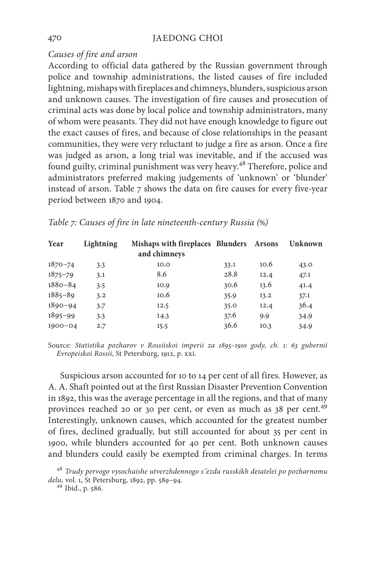## *Causes of fire and arson*

According to official data gathered by the Russian government through police and township administrations, the listed causes of fire included lightning, mishaps with fireplaces and chimneys, blunders, suspicious arson and unknown causes. The investigation of fire causes and prosecution of criminal acts was done by local police and township administrators, many of whom were peasants. They did not have enough knowledge to figure out the exact causes of fires, and because of close relationships in the peasant communities, they were very reluctant to judge a fire as arson. Once a fire was judged as arson, a long trial was inevitable, and if the accused was found guilty, criminal punishment was very heavy.<sup>48</sup> Therefore, police and administrators preferred making judgements of 'unknown' or 'blunder' instead of arson. Table 7 shows the data on fire causes for every five-year period between 1870 and 1904.

| Year        | Lightning | Mishaps with fireplaces Blunders Arsons<br>and chimneys |      |      | Unknown |
|-------------|-----------|---------------------------------------------------------|------|------|---------|
| $1870 - 74$ | 3.3       | 10.0                                                    | 33.1 | 10.6 | 43.0    |
| $1875 - 79$ | 3.1       | 8.6                                                     | 28.8 | 12.4 | 47.1    |
| $1880 - 84$ | 3.5       | 10.9                                                    | 30.6 | 13.6 | 41.4    |
| $1885 - 89$ | 3.2       | 10.6                                                    | 35.9 | 13.2 | 37.1    |
| $1890 - 94$ | 3.7       | 12.5                                                    | 35.0 | 12.4 | 36.4    |
| $1895 - 99$ | 3.3       | 14.3                                                    | 37.6 | 9.9  | 34.9    |
| $1900 - 04$ | 2.7       | 15.5                                                    | 36.6 | 10.3 | 34.9    |

|  |  |  | Table 7: Causes of fire in late nineteenth-century Russia (%) |  |  |
|--|--|--|---------------------------------------------------------------|--|--|
|--|--|--|---------------------------------------------------------------|--|--|

Source: *Statistika pozharov v Rossiiskoi imperii za 1895–1910 gody, ch. 1: 63 gubernii Evropeiskoi Rossii*, St Petersburg, 1912, p. xxi.

Suspicious arson accounted for 10 to 14 per cent of all fires. However, as A. A. Shaft pointed out at the first Russian Disaster Prevention Convention in 1892, this was the average percentage in all the regions, and that of many provinces reached 20 or 30 per cent, or even as much as 38 per cent.<sup>49</sup> Interestingly, unknown causes, which accounted for the greatest number of fires, declined gradually, but still accounted for about 35 per cent in 1900, while blunders accounted for 40 per cent. Both unknown causes and blunders could easily be exempted from criminal charges. In terms

<sup>48</sup> *Trudy pervogo vysochaishe utverzhdennogo s´´ezda russkikh deiatelei po pozharnomu delu,* vol. 1, St Petersburg, 1892, pp. 589–94. <sup>49</sup> Ibid., p. 586.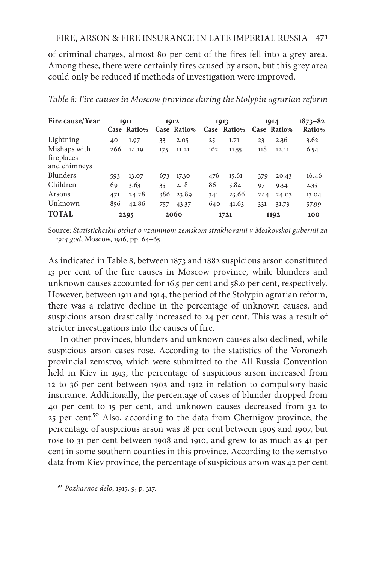## FIRE, ARSON & FIRE INSURANCE IN LATE IMPERIAL RUSSIA 471

of criminal charges, almost 80 per cent of the fires fell into a grey area. Among these, there were certainly fires caused by arson, but this grey area could only be reduced if methods of investigation were improved.

| Fire cause/Year                            |     | 1911<br>Case Ratio% |     | 1912<br>Case Ratio% | 1913 | Case Ratio% |     | 1914<br>Case Ratio% | $1873 - 82$<br>Ratio% |
|--------------------------------------------|-----|---------------------|-----|---------------------|------|-------------|-----|---------------------|-----------------------|
| Lightning                                  | 40  | 1.97                | 33  | 2.05                | 25   | 1.71        | 23  | 2.36                | 3.62                  |
| Mishaps with<br>fireplaces<br>and chimneys | 266 | 14.19               | 175 | 11.21               | 162  | 11.55       | 118 | 12.11               | 6.54                  |
| Blunders                                   | 593 | 13.07               | 673 | 17.30               | 476  | 15.61       | 379 | 20.43               | 16.46                 |
| Children                                   | 69  | 3.63                | 35  | 2.18                | 86   | 5.84        | 97  | 9.34                | 2.35                  |
| Arsons                                     | 471 | 24.28               | 386 | 23.89               | 341  | 23.66       | 244 | 24.03               | 13.04                 |
| Unknown                                    | 856 | 42.86               | 757 | 43.37               | 640  | 41.63       | 331 | 31.73               | 57.99                 |
| <b>TOTAL</b>                               |     | 2295                |     | 2060                |      | 1721        |     | 1192                | 100                   |

#### *Table 8: Fire causes in Moscow province during the Stolypin agrarian reform*

Source: *Statisticheskii otchet o vzaimnom zemskom strakhovanii v Moskovskoi gubernii za 1914 god*, Мoscow, 1916, pp. 64–65.

As indicated in Table 8, between 1873 and 1882 suspicious arson constituted 13 per cent of the fire causes in Moscow province, while blunders and unknown causes accounted for 16.5 per cent and 58.0 per cent, respectively. However, between 1911 and 1914, the period of the Stolypin agrarian reform, there was a relative decline in the percentage of unknown causes, and suspicious arson drastically increased to 24 per cent. This was a result of stricter investigations into the causes of fire.

In other provinces, blunders and unknown causes also declined, while suspicious arson cases rose. According to the statistics of the Voronezh provincial zemstvo, which were submitted to the All Russia Convention held in Kiev in 1913, the percentage of suspicious arson increased from 12 to 36 per cent between 1903 and 1912 in relation to compulsory basic insurance. Additionally, the percentage of cases of blunder dropped from 40 per cent to 15 per cent, and unknown causes decreased from 32 to 25 per cent.50 Also, according to the data from Chernigov province, the percentage of suspicious arson was 18 per cent between 1905 and 1907, but rose to 31 per cent between 1908 and 1910, and grew to as much as 41 per cent in some southern counties in this province. According to the zemstvo data from Kiev province, the percentage of suspicious arson was 42 per cent

<sup>50</sup> *Pozharnoe delo*, 1915, 9, p. 317.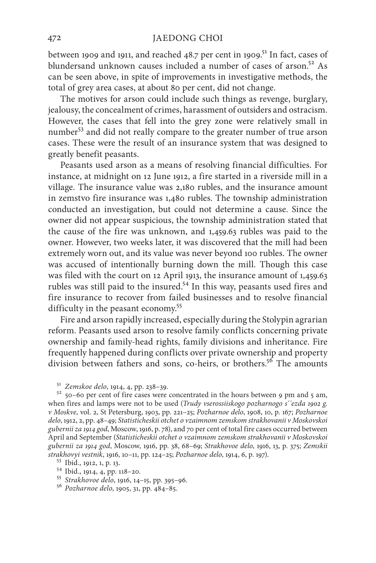between 1909 and 1911, and reached  $48.7$  per cent in 1909.<sup>51</sup> In fact, cases of blundersand unknown causes included a number of cases of arson.<sup>52</sup> As can be seen above, in spite of improvements in investigative methods, the total of grey area cases, at about 80 per cent, did not change.

The motives for arson could include such things as revenge, burglary, jealousy, the concealment of crimes, harassment of outsiders and ostracism. However, the cases that fell into the grey zone were relatively small in number53 and did not really compare to the greater number of true arson cases. These were the result of an insurance system that was designed to greatly benefit peasants.

Peasants used arson as a means of resolving financial difficulties. For instance, at midnight on 12 June 1912, a fire started in a riverside mill in a village. The insurance value was 2,180 rubles, and the insurance amount in zemstvo fire insurance was 1,480 rubles. The township administration conducted an investigation, but could not determine a cause. Since the owner did not appear suspicious, the township administration stated that the cause of the fire was unknown, and 1,459.63 rubles was paid to the owner. However, two weeks later, it was discovered that the mill had been extremely worn out, and its value was never beyond 100 rubles. The owner was accused of intentionally burning down the mill. Though this case was filed with the court on 12 April 1913, the insurance amount of 1,459.63 rubles was still paid to the insured.<sup>54</sup> In this way, peasants used fires and fire insurance to recover from failed businesses and to resolve financial difficulty in the peasant economy.<sup>55</sup>

Fire and arson rapidly increased, especially during the Stolypin agrarian reform. Peasants used arson to resolve family conflicts concerning private ownership and family-head rights, family divisions and inheritance. Fire frequently happened during conflicts over private ownership and property division between fathers and sons, co-heirs, or brothers.<sup>56</sup> The amounts

<sup>51</sup> *Zemskoe delo*, 1914, 4, pp. 238–39.<br><sup>52</sup> 50–60 per cent of fire cases were concentrated in the hours between 9 pm and 5 am, when fires and lamps were not to be used (*Trudy vserossiiskogo pozharnogo s´´ezda 1902 g. v Moskve*, vol. 2, St Petersburg, 1903, pp. 221–25; *Pozharnoe delo*, 1908, 10, p. 167; *Pozharnoe delo*, 1912, 2, pp. 48–49; *Statisticheskii otchet o vzaimnom zemskom strakhovanii v Moskovskoi gubernii za 1914 god*, Мoscow, 1916, p. 78), and 70 per cent of total fire cases occurred between April and September (*Statisticheskii otchet o vzaimnom zemskom strakhovanii v Moskovskoi gubernii za 1914 god*, Moscow, 1916, pp. 38, 68–69; *Strakhovoe delo*, 1916, 13, p. 375; *Zemskii*  strakhovyi vestnik, 1916, 10–11, pp. 124–25; Pozharnoe delo, 1914, 6, p. 197).<br>
<sup>53</sup> Ibid., 1912, 1, p. 13.<br>
<sup>54</sup> Ibid., 1914, 4, pp. 118–20.<br>
<sup>55</sup> Strakhovoe delo, 1916, 14–15, pp. 395–96.<br>
<sup>56</sup> Pozharnoe delo, 1905, 31,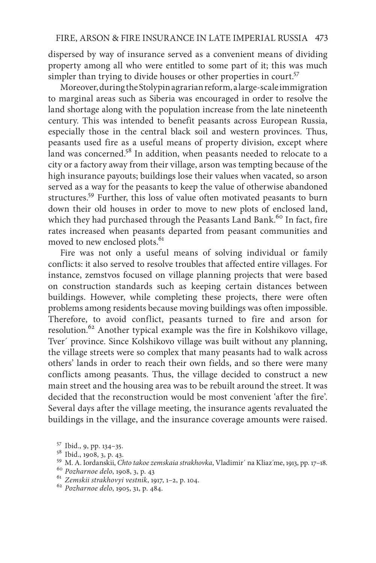dispersed by way of insurance served as a convenient means of dividing property among all who were entitled to some part of it; this was much simpler than trying to divide houses or other properties in court.<sup>57</sup>

Moreover, during the Stolypin agrarian reform, a large-scale immigration to marginal areas such as Siberia was encouraged in order to resolve the land shortage along with the population increase from the late nineteenth century. This was intended to benefit peasants across European Russia, especially those in the central black soil and western provinces. Thus, peasants used fire as a useful means of property division, except where land was concerned.<sup>58</sup> In addition, when peasants needed to relocate to a city or a factory away from their village, arson was tempting because of the high insurance payouts; buildings lose their values when vacated, so arson served as a way for the peasants to keep the value of otherwise abandoned structures.59 Further, this loss of value often motivated peasants to burn down their old houses in order to move to new plots of enclosed land, which they had purchased through the Peasants Land Bank.<sup>60</sup> In fact, fire rates increased when peasants departed from peasant communities and moved to new enclosed plots.<sup>61</sup>

Fire was not only a useful means of solving individual or family conflicts: it also served to resolve troubles that affected entire villages. For instance, zemstvos focused on village planning projects that were based on construction standards such as keeping certain distances between buildings. However, while completing these projects, there were often problems among residents because moving buildings was often impossible. Therefore, to avoid conflict, peasants turned to fire and arson for resolution.62 Another typical example was the fire in Kolshikovo village, Tver´ province. Since Kolshikovo village was built without any planning, the village streets were so complex that many peasants had to walk across others' lands in order to reach their own fields, and so there were many conflicts among peasants. Thus, the village decided to construct a new main street and the housing area was to be rebuilt around the street. It was decided that the reconstruction would be most convenient 'after the fire'. Several days after the village meeting, the insurance agents revaluated the buildings in the village, and the insurance coverage amounts were raised.

<sup>&</sup>lt;sup>57</sup> Ibid., 9, pp. 134–35.<br><sup>58</sup> Ibid., 1908, 3, p. 43.<br><sup>59</sup> M. A. Iordanskii, *Chto takoe zemskaia strakhovka*, Vladimir´ na Kliaz´me, 1913, pp. 17–18.<br><sup>60</sup> Pozharnoe delo, 1908, 3, p. 43<br><sup>61</sup> Zemskii strakhovyi vestnik,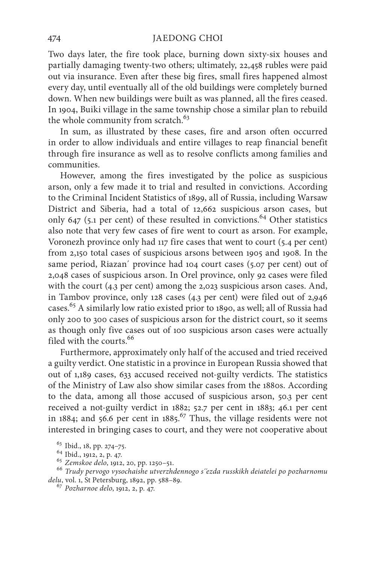Two days later, the fire took place, burning down sixty-six houses and partially damaging twenty-two others; ultimately, 22,458 rubles were paid out via insurance. Even after these big fires, small fires happened almost every day, until eventually all of the old buildings were completely burned down. When new buildings were built as was planned, all the fires ceased. In 1904, Buiki village in the same township chose a similar plan to rebuild the whole community from scratch.<sup>63</sup>

In sum, as illustrated by these cases, fire and arson often occurred in order to allow individuals and entire villages to reap financial benefit through fire insurance as well as to resolve conflicts among families and communities.

However, among the fires investigated by the police as suspicious arson, only a few made it to trial and resulted in convictions. According to the Criminal Incident Statistics of 1899, all of Russia, including Warsaw District and Siberia, had a total of 12,662 suspicious arson cases, but only 647 (5.1 per cent) of these resulted in convictions.<sup>64</sup> Other statistics also note that very few cases of fire went to court as arson. For example, Voronezh province only had 117 fire cases that went to court (5.4 per cent) from 2,150 total cases of suspicious arsons between 1905 and 1908. In the same period, Riazan´ province had 104 court cases (5.07 per cent) out of 2,048 cases of suspicious arson. In Orel province, only 92 cases were filed with the court (4.3 per cent) among the 2,023 suspicious arson cases. And, in Tambov province, only 128 cases (4.3 per cent) were filed out of 2,946 cases.65 A similarly low ratio existed prior to 1890, as well; all of Russia had only 200 to 300 cases of suspicious arson for the district court, so it seems as though only five cases out of 100 suspicious arson cases were actually filed with the courts.<sup>66</sup>

Furthermore, approximately only half of the accused and tried received a guilty verdict. One statistic in a province in European Russia showed that out of 1,189 cases, 633 accused received not-guilty verdicts. The statistics of the Ministry of Law also show similar cases from the 1880s. According to the data, among all those accused of suspicious arson, 50.3 per cent received a not-guilty verdict in 1882; 52.7 per cent in 1883; 46.1 per cent in 1884; and 56.6 per cent in 1885.<sup>67</sup> Thus, the village residents were not interested in bringing cases to court, and they were not cooperative about

<sup>63</sup> Ibid., 18, pp. 274–75. 64 Ibid., 1912, 2, p. 47. 65 *Zemskoe delo*, 1912, 20, pp. 1250–51. <sup>66</sup> *Trudy pervogo vysochaishe utverzhdennogo s´´ezda russkikh deiatelei po pozharnomu delu*, vol. 1, St Petersburg, 1892, pp. 588–89. 67 *Pozharnoe delo*, 1912, 2, p. 47.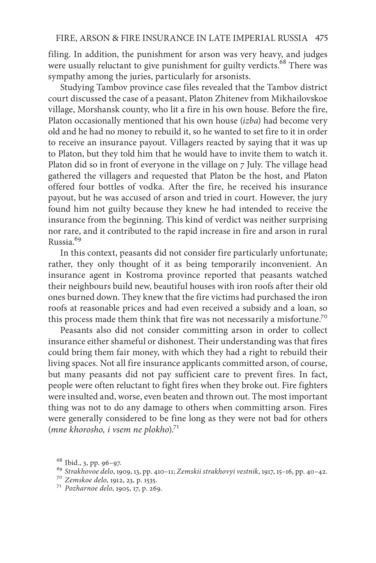filing. In addition, the punishment for arson was very heavy, and judges were usually reluctant to give punishment for guilty verdicts.<sup>68</sup> There was sympathy among the juries, particularly for arsonists.

Studying Tambov province case files revealed that the Tambov district court discussed the case of a peasant, Platon Zhitenev from Mikhailovskoe village, Morshansk county, who lit a fire in his own house. Before the fire, Platon occasionally mentioned that his own house (*izba*) had become very old and he had no money to rebuild it, so he wanted to set fire to it in order to receive an insurance payout. Villagers reacted by saying that it was up to Platon, but they told him that he would have to invite them to watch it. Platon did so in front of everyone in the village on 7 July. The village head gathered the villagers and requested that Platon be the host, and Platon offered four bottles of vodka. After the fire, he received his insurance payout, but he was accused of arson and tried in court. However, the jury found him not guilty because they knew he had intended to receive the insurance from the beginning. This kind of verdict was neither surprising nor rare, and it contributed to the rapid increase in fire and arson in rural Russia.69

In this context, peasants did not consider fire particularly unfortunate; rather, they only thought of it as being temporarily inconvenient. An insurance agent in Kostroma province reported that peasants watched their neighbours build new, beautiful houses with iron roofs after their old ones burned down. They knew that the fire victims had purchased the iron roofs at reasonable prices and had even received a subsidy and a loan, so this process made them think that fire was not necessarily a misfortune.<sup>70</sup>

Peasants also did not consider committing arson in order to collect insurance either shameful or dishonest. Their understanding was that fires could bring them fair money, with which they had a right to rebuild their living spaces. Not all fire insurance applicants committed arson, of course, but many peasants did not pay sufficient care to prevent fires. In fact, people were often reluctant to fight fires when they broke out. Fire fighters were insulted and, worse, even beaten and thrown out. The most important thing was not to do any damage to others when committing arson. Fires were generally considered to be fine long as they were not bad for others (*mne khorosho, i vsem ne plokho*).71

<sup>68</sup> Ibid., 3, pp. 96–97. <sup>69</sup> *Strakhovoe delo*, 1909, 13, pp. 410–11; *Zemskii strakhovyi vestnik*, 1917, 15–16, pp. 40–42. <sup>70</sup> *Zemskoe delo*, 1912, 23, p. 1535. 71 *Pozharnoe delo*, 1905, 17, p. 269.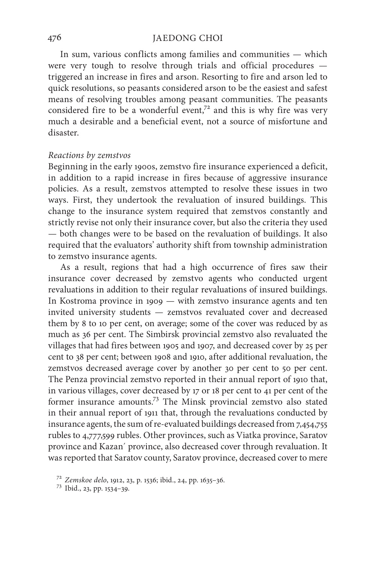In sum, various conflicts among families and communities — which were very tough to resolve through trials and official procedures triggered an increase in fires and arson. Resorting to fire and arson led to quick resolutions, so peasants considered arson to be the easiest and safest means of resolving troubles among peasant communities. The peasants considered fire to be a wonderful event,<sup>72</sup> and this is why fire was very much a desirable and a beneficial event, not a source of misfortune and disaster.

#### *Reactions by zemstvos*

Beginning in the early 1900s, zemstvo fire insurance experienced a deficit, in addition to a rapid increase in fires because of aggressive insurance policies. As a result, zemstvos attempted to resolve these issues in two ways. First, they undertook the revaluation of insured buildings. This change to the insurance system required that zemstvos constantly and strictly revise not only their insurance cover, but also the criteria they used — both changes were to be based on the revaluation of buildings. It also required that the evaluators' authority shift from township administration to zemstvo insurance agents.

As a result, regions that had a high occurrence of fires saw their insurance cover decreased by zemstvo agents who conducted urgent revaluations in addition to their regular revaluations of insured buildings. In Kostroma province in 1909 — with zemstvo insurance agents and ten invited university students — zemstvos revaluated cover and decreased them by 8 to 10 per cent, on average; some of the cover was reduced by as much as 36 per cent. The Simbirsk provincial zemstvo also revaluated the villages that had fires between 1905 and 1907, and decreased cover by 25 per cent to 38 per cent; between 1908 and 1910, after additional revaluation, the zemstvos decreased average cover by another 30 per cent to 50 per cent. The Penza provincial zemstvo reported in their annual report of 1910 that, in various villages, cover decreased by 17 or 18 per cent to 41 per cent of the former insurance amounts.73 The Minsk provincial zemstvo also stated in their annual report of 1911 that, through the revaluations conducted by insurance agents, the sum of re-evaluated buildings decreased from 7,454,755 rubles to 4,777,599 rubles. Other provinces, such as Viatka province, Saratov province and Kazan´ province, also decreased cover through revaluation. It was reported that Saratov county, Saratov province, decreased cover to mere

<sup>72</sup> *Zemskoe delo*, 1912, 23, p. 1536; ibid., 24, pp. 1635–36. <sup>73</sup> Ibid., 23, pp. 1534–39.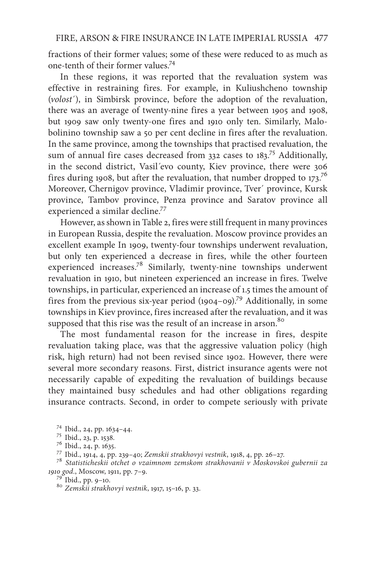fractions of their former values; some of these were reduced to as much as one-tenth of their former values.74

In these regions, it was reported that the revaluation system was effective in restraining fires. For example, in Kuliushcheno township (*volost*´), in Simbirsk province, before the adoption of the revaluation, there was an average of twenty-nine fires a year between 1905 and 1908, but 1909 saw only twenty-one fires and 1910 only ten. Similarly, Malobolinino township saw a 50 per cent decline in fires after the revaluation. In the same province, among the townships that practised revaluation, the sum of annual fire cases decreased from 332 cases to 183.<sup>75</sup> Additionally, in the second district, Vasil´evo county, Kiev province, there were 306 fires during 1908, but after the revaluation, that number dropped to  $173$ <sup>76</sup> Moreover, Chernigov province, Vladimir province, Tver´ province, Kursk province, Tambov province, Penza province and Saratov province all experienced a similar decline.<sup>77</sup>

However, as shown in Table 2, fires were still frequent in many provinces in European Russia, despite the revaluation. Moscow province provides an excellent example In 1909, twenty-four townships underwent revaluation, but only ten experienced a decrease in fires, while the other fourteen experienced increases.78 Similarly, twenty-nine townships underwent revaluation in 1910, but nineteen experienced an increase in fires. Twelve townships, in particular, experienced an increase of 1.5 times the amount of fires from the previous six-year period  $(1904-09)$ .<sup>79</sup> Additionally, in some townships in Kiev province, fires increased after the revaluation, and it was supposed that this rise was the result of an increase in arson.<sup>80</sup>

The most fundamental reason for the increase in fires, despite revaluation taking place, was that the aggressive valuation policy (high risk, high return) had not been revised since 1902. However, there were several more secondary reasons. First, district insurance agents were not necessarily capable of expediting the revaluation of buildings because they maintained busy schedules and had other obligations regarding insurance contracts. Second, in order to compete seriously with private

<sup>74</sup> Ibid., 24, pp. 1634–44.<br><sup>75</sup> Ibid., 23, p. 1538.<br><sup>76</sup> Ibid., 24, p. 1635.<br><sup>77</sup> Ibid., 1914, 4, pp. 239–40; Zemskii strakhovyi vestnik, 1918, 4, pp. 26–27.<br><sup>78</sup> Statisticheskii otchet o vzaimnom zemskom strakhovanii v

*1910 god.*, Мoscow, 1911, pp. 7–9. <sup>79</sup> Ibid., pp. 9–10. <sup>80</sup> *Zemskii strakhovyi vestnik*, 1917, 15–16, p. 33.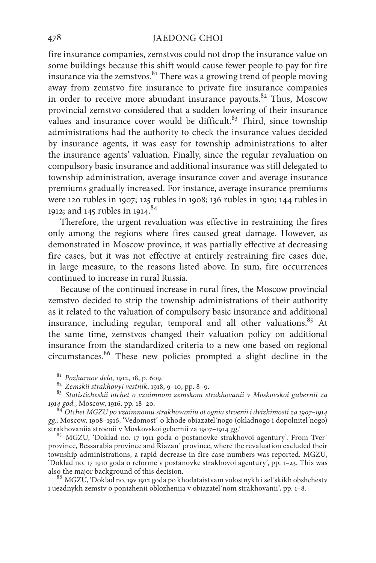fire insurance companies, zemstvos could not drop the insurance value on some buildings because this shift would cause fewer people to pay for fire insurance via the zemstvos. $81$  There was a growing trend of people moving away from zemstvo fire insurance to private fire insurance companies in order to receive more abundant insurance payouts. $82$  Thus, Moscow provincial zemstvo considered that a sudden lowering of their insurance values and insurance cover would be difficult. $83$  Third, since township administrations had the authority to check the insurance values decided by insurance agents, it was easy for township administrations to alter the insurance agents' valuation. Finally, since the regular revaluation on compulsory basic insurance and additional insurance was still delegated to township administration, average insurance cover and average insurance premiums gradually increased. For instance, average insurance premiums were 120 rubles in 1907; 125 rubles in 1908; 136 rubles in 1910; 144 rubles in 1912; and 145 rubles in 1914.<sup>84</sup>

Therefore, the urgent revaluation was effective in restraining the fires only among the regions where fires caused great damage. However, as demonstrated in Moscow province, it was partially effective at decreasing fire cases, but it was not effective at entirely restraining fire cases due, in large measure, to the reasons listed above. In sum, fire occurrences continued to increase in rural Russia.

Because of the continued increase in rural fires, the Moscow provincial zemstvo decided to strip the township administrations of their authority as it related to the valuation of compulsory basic insurance and additional insurance, including regular, temporal and all other valuations.<sup>85</sup> At the same time, zemstvos changed their valuation policy on additional insurance from the standardized criteria to a new one based on regional circumstances.86 These new policies prompted a slight decline in the

<sup>81</sup> *Pozharnoe delo*, 1912, 18, p. 609.<br><sup>82</sup> *Zemskii strakhovyi vestnik*, 1918, 9–10, pp. 8–9.<br><sup>83</sup> *Statisticheskii otchet o vzaimnom zemskom strakhovanii v Moskovskoi gubernii za*<br>1914 god., Moscow, 1916, pp. 18–20.

*1914 god.*, Мoscow, 1916, pp. 18–20. <sup>84</sup> *Otchet MGZU po vzaimnomu strakhovaniiu ot ognia stroenii i dvizhimosti za 1907–1914 gg.*, Moscow, 1908–1916, 'Vedomost´ o khode obiazatel´nogo (okladnogo i dopolnitel´nogo)

<sup>85</sup> MGZU, 'Doklad no. 17 1911 goda o postanovke strakhovoi agentury'. From Tver´ province, Bessarabia province and Riazan´ province, where the revaluation excluded their township administrations, a rapid decrease in fire case numbers was reported. MGZU, 'Doklad no. 17 1910 goda o reforme v postanovke strakhovoi agentury', pp. 1–23. This was also the major background of this decision.<br><sup>86</sup> MGZU, 'Doklad no. 19v 1912 goda po khodataistvam volostnykh i sel´skikh obshchestv

i uezdnykh zemstv o ponizhenii oblozheniia v obiazatel´nom strakhovanii', pp. 1–8.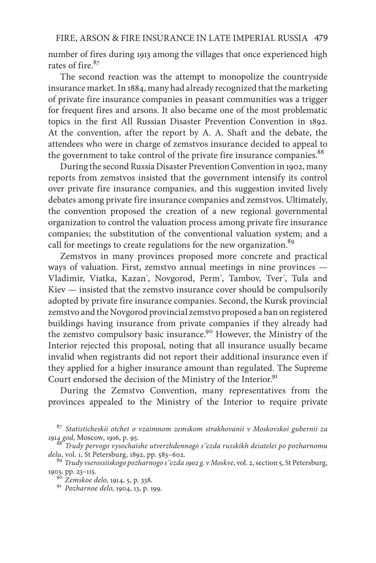number of fires during 1913 among the villages that once experienced high rates of fire.<sup>87</sup>

The second reaction was the attempt to monopolize the countryside insurance market. In 1884, many had already recognized that the marketing of private fire insurance companies in peasant communities was a trigger for frequent fires and arsons. It also became one of the most problematic topics in the first All Russian Disaster Prevention Convention in 1892. At the convention, after the report by A. A. Shaft and the debate, the attendees who were in charge of zemstvos insurance decided to appeal to the government to take control of the private fire insurance companies.<sup>88</sup>

During the second Russia Disaster Prevention Convention in 1902, many reports from zemstvos insisted that the government intensify its control over private fire insurance companies, and this suggestion invited lively debates among private fire insurance companies and zemstvos. Ultimately, the convention proposed the creation of a new regional governmental organization to control the valuation process among private fire insurance companies; the substitution of the conventional valuation system; and a call for meetings to create regulations for the new organization.<sup>89</sup>

Zemstvos in many provinces proposed more concrete and practical ways of valuation. First, zemstvo annual meetings in nine provinces — Vladimir, Viatka, Kazan´, Novgorod, Perm´, Tambov, Tver´, Tula and Kiev — insisted that the zemstvo insurance cover should be compulsorily adopted by private fire insurance companies. Second, the Kursk provincial zemstvo and the Novgorod provincial zemstvo proposed a ban on registered buildings having insurance from private companies if they already had the zemstvo compulsory basic insurance.<sup>90</sup> However, the Ministry of the Interior rejected this proposal, noting that all insurance usually became invalid when registrants did not report their additional insurance even if they applied for a higher insurance amount than regulated. The Supreme Court endorsed the decision of the Ministry of the Interior.<sup>91</sup>

During the Zemstvo Convention, many representatives from the provinces appealed to the Ministry of the Interior to require private

<sup>87</sup> *Statisticheskii otchet o vzaimnom zemskom strakhovanii v Moskovskoi gubernii za* 

 $^{8}$ Trudy pervogo vysochaishe utverzhdennogo s´´ezda russkikh deiatelei po pozharnomu *delu*, vol. 1, St Petersburg, 1892, pp. 583–602.

<sup>89</sup> *Trudy vserossiiskogo pozharnogo s´´ezda 1902 g. v Moskve*, vol. 2, section 5, St Petersburg, 1903, pp. 23–115. <sup>90</sup> *Zemskoe delo*, 1914, 5, p. 338. 91 *Pozharnoe delo*, 1904, 13, p. 199.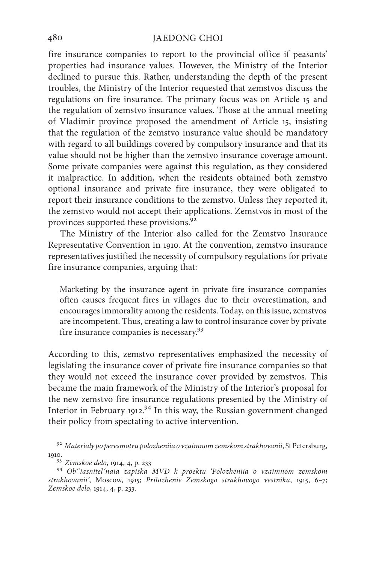fire insurance companies to report to the provincial office if peasants' properties had insurance values. However, the Ministry of the Interior declined to pursue this. Rather, understanding the depth of the present troubles, the Ministry of the Interior requested that zemstvos discuss the regulations on fire insurance. The primary focus was on Article 15 and the regulation of zemstvo insurance values. Those at the annual meeting of Vladimir province proposed the amendment of Article 15, insisting that the regulation of the zemstvo insurance value should be mandatory with regard to all buildings covered by compulsory insurance and that its value should not be higher than the zemstvo insurance coverage amount. Some private companies were against this regulation, as they considered it malpractice. In addition, when the residents obtained both zemstvo optional insurance and private fire insurance, they were obligated to report their insurance conditions to the zemstvo. Unless they reported it, the zemstvo would not accept their applications. Zemstvos in most of the provinces supported these provisions.<sup>92</sup>

The Ministry of the Interior also called for the Zemstvo Insurance Representative Convention in 1910. At the convention, zemstvo insurance representatives justified the necessity of compulsory regulations for private fire insurance companies, arguing that:

Marketing by the insurance agent in private fire insurance companies often causes frequent fires in villages due to their overestimation, and encourages immorality among the residents. Today, on this issue, zemstvos are incompetent. Thus, creating a law to control insurance cover by private fire insurance companies is necessary.93

According to this, zemstvo representatives emphasized the necessity of legislating the insurance cover of private fire insurance companies so that they would not exceed the insurance cover provided by zemstvos. This became the main framework of the Ministry of the Interior's proposal for the new zemstvo fire insurance regulations presented by the Ministry of Interior in February 1912.<sup>94</sup> In this way, the Russian government changed their policy from spectating to active intervention.

<sup>92</sup> *Materialy po peresmotru polozheniia o vzaimnom zemskom strakhovanii*, St Petersburg,

1910. 93 *Zemskoe delo*, 1914, 4, p. 233 <sup>94</sup> *Ob*´´*iasnitel´naia zapiska MVD k proektu 'Polozheniia o vzaimnom zemskom strakhovanii'*, Мoscow, 1915; *Prilozhenie Zemskogo strakhovogo vestnika*, 1915, 6–7; *Zemskoe delo*, 1914, 4, p. 233.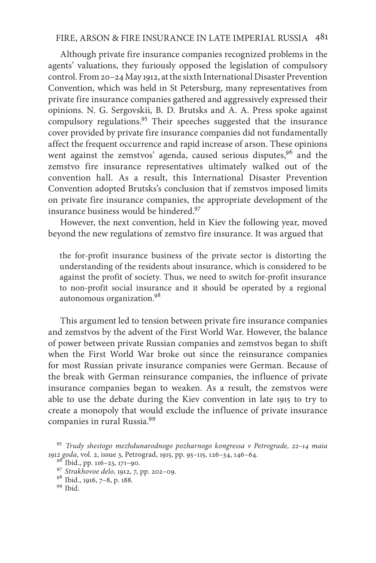## FIRE, ARSON & FIRE INSURANCE IN LATE IMPERIAL RUSSIA 481

Although private fire insurance companies recognized problems in the agents' valuations, they furiously opposed the legislation of compulsory control. From 20–24 May 1912, at the sixth International Disaster Prevention Convention, which was held in St Petersburg, many representatives from private fire insurance companies gathered and aggressively expressed their opinions. N. G. Sergovskii, B. D. Brutsks and А. А. Press spoke against compulsory regulations.<sup>95</sup> Their speeches suggested that the insurance cover provided by private fire insurance companies did not fundamentally affect the frequent occurrence and rapid increase of arson. These opinions went against the zemstvos' agenda, caused serious disputes,<sup>96</sup> and the zemstvo fire insurance representatives ultimately walked out of the convention hall. As a result, this International Disaster Prevention Convention adopted Brutsks's conclusion that if zemstvos imposed limits on private fire insurance companies, the appropriate development of the insurance business would be hindered.97

However, the next convention, held in Kiev the following year, moved beyond the new regulations of zemstvo fire insurance. It was argued that

the for-profit insurance business of the private sector is distorting the understanding of the residents about insurance, which is considered to be against the profit of society. Thus, we need to switch for-profit insurance to non-profit social insurance and it should be operated by a regional autonomous organization.98

This argument led to tension between private fire insurance companies and zemstvos by the advent of the First World War. However, the balance of power between private Russian companies and zemstvos began to shift when the First World War broke out since the reinsurance companies for most Russian private insurance companies were German. Because of the break with German reinsurance companies, the influence of private insurance companies began to weaken. As a result, the zemstvos were able to use the debate during the Kiev convention in late 1915 to try to create a monopoly that would exclude the influence of private insurance companies in rural Russia.99

<sup>95</sup> *Trudy shestogo mezhdunarodnogo pozharnogo kongressa v Petrograde, 22–14 maia 1912 goda*, vol. 2, issue 3, Petrograd, 1915, pp. 95–115, 126–34, 146–64. <sup>96</sup> Ibid., pp. 116–23, 171–90. <sup>97</sup> *Strakhovoe delo*, 1912, 7, pp. 202–09. <sup>98</sup> Ibid., 1916, 7–8, p. 188. <sup>99</sup> Ibid.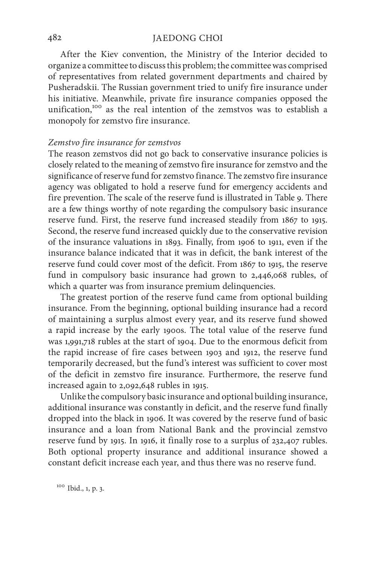After the Kiev convention, the Ministry of the Interior decided to organize a committee to discuss this problem; the committee was comprised of representatives from related government departments and chaired by Pusheradskii. The Russian government tried to unify fire insurance under his initiative. Meanwhile, private fire insurance companies opposed the unification,<sup>100</sup> as the real intention of the zemstvos was to establish a monopoly for zemstvo fire insurance.

#### *Zemstvo fire insurance for zemstvos*

The reason zemstvos did not go back to conservative insurance policies is closely related to the meaning of zemstvo fire insurance for zemstvo and the significance of reserve fund for zemstvo finance. The zemstvo fire insurance agency was obligated to hold a reserve fund for emergency accidents and fire prevention. The scale of the reserve fund is illustrated in Table 9. There are a few things worthy of note regarding the compulsory basic insurance reserve fund. First, the reserve fund increased steadily from 1867 to 1915. Second, the reserve fund increased quickly due to the conservative revision of the insurance valuations in 1893. Finally, from 1906 to 1911, even if the insurance balance indicated that it was in deficit, the bank interest of the reserve fund could cover most of the deficit. From 1867 to 1915, the reserve fund in compulsory basic insurance had grown to 2,446,068 rubles, of which a quarter was from insurance premium delinquencies.

The greatest portion of the reserve fund came from optional building insurance. From the beginning, optional building insurance had a record of maintaining a surplus almost every year, and its reserve fund showed a rapid increase by the early 1900s. The total value of the reserve fund was 1,991,718 rubles at the start of 1904. Due to the enormous deficit from the rapid increase of fire cases between 1903 and 1912, the reserve fund temporarily decreased, but the fund's interest was sufficient to cover most of the deficit in zemstvo fire insurance. Furthermore, the reserve fund increased again to 2,092,648 rubles in 1915.

Unlike the compulsory basic insurance and optional building insurance, additional insurance was constantly in deficit, and the reserve fund finally dropped into the black in 1906. It was covered by the reserve fund of basic insurance and a loan from National Bank and the provincial zemstvo reserve fund by 1915. In 1916, it finally rose to a surplus of 232,407 rubles. Both optional property insurance and additional insurance showed a constant deficit increase each year, and thus there was no reserve fund.

<sup>100</sup> Ibid., 1, p. 3.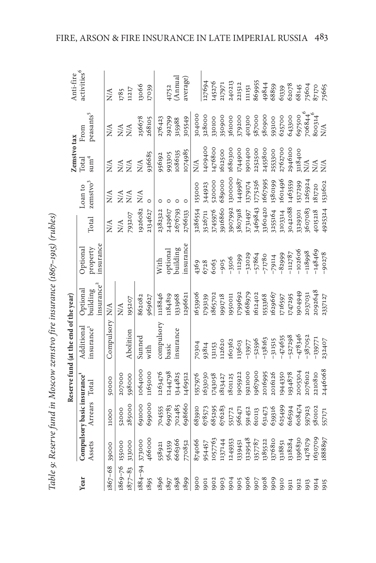| I                                                                       |  |
|-------------------------------------------------------------------------|--|
|                                                                         |  |
|                                                                         |  |
| ble 9: Reserve fund in Moscow zemstvo fire insurance (1867–1915) (ruble |  |
|                                                                         |  |
|                                                                         |  |
|                                                                         |  |

|              |         |                                             |         | Table 9: Reserve fund in Moscow zemstvo fire insurance (1867-1915) (rubles) |                        |                                   |                  |                                 |                           |                               |                         |
|--------------|---------|---------------------------------------------|---------|-----------------------------------------------------------------------------|------------------------|-----------------------------------|------------------|---------------------------------|---------------------------|-------------------------------|-------------------------|
|              |         |                                             |         | Reserve fund (at the end of the year)                                       |                        |                                   |                  |                                 | Zemstvo tax               |                               | Anti-fire               |
| Year         | Assets  | Compulsory basic insurance<br>Arrears Total |         | Additional<br>insurance <sup>1</sup>                                        | Optional<br>building   | property<br>insurance<br>Optional | Total            | zemstvo <sup>3</sup><br>Coan to | sum <sup>4</sup><br>Total | peasants <sup>5</sup><br>From | activities <sup>6</sup> |
|              |         |                                             |         |                                                                             | insurance <sup>2</sup> |                                   |                  |                                 |                           |                               |                         |
| $186 - 68$   | 39000   | 11000                                       | 50000   | Compulsory                                                                  | N/A                    |                                   | $\sum_{i=1}^{n}$ | $\sum_{i=1}^{n}$                | N/A                       | $\sum_{i=1}^{n}$              | $\sum_{i=1}^{n}$        |
| $1869 - 76$  | 155000  | 52000                                       | 207000  |                                                                             | <b>N/A</b>             |                                   | $\frac{A}{N}$    | $\sum_{i=1}^{n}$                | XX<br>XX                  | $\frac{A}{N}$                 | 1785                    |
| $1877 - 83$  | 313000  | 285000                                      | 598000  | Abolition                                                                   | 195207                 |                                   | 793207           | N/A                             |                           | $\sum_{i=1}^{n}$              | 11217                   |
| $1884 - 94$  | 373000  | 691000                                      | 1064000 | Sunned                                                                      | 862082                 |                                   | 1926082          | $\sum_{i=1}^{n}$                | N/A                       | 256678                        | 13066                   |
| 1895         | 466000  | 699000                                      | 1165000 | with                                                                        | 969627                 |                                   | 2134627          | $\circ$                         | 936685                    | 268105                        | 17039                   |
| 1896         | 558921  | 704555                                      | 1263476 | compulsory                                                                  | 1118846                | With                              | 2382322          |                                 | 956192                    | 276423                        |                         |
|              | 564359  | 699783                                      | 1244798 | basic                                                                       | 1184819                |                                   | 2429617          |                                 | 993305                    | 292799                        | 41752                   |
| 1897<br>1898 | 666366  | 702485                                      | 1344825 | insurance                                                                   | 1331968                | optional<br>building              | 2676793          |                                 | 1086135                   | 315988                        | (Annual                 |
| 1899         | 770852  | 698660                                      | 1469512 |                                                                             | 1296621                | nsurance                          | 2766133          | $\circ$                         | 1074985                   | 305549                        | average)                |
| 1900         | 874066  | 683910                                      | 1557976 | 70304                                                                       | 1653906                |                                   | 3286554          | 155000                          | N/A                       | 304000                        |                         |
| 1901         | 954457  | 678573                                      | 1633030 | 93814                                                                       | 1793139                | 4369<br>6728<br>6063              | 3526711          | 344923                          | 1409400                   | 328000                        | 127694                  |
| 1902         | 1057763 | 685295                                      | 1743058 | 131153                                                                      | 1865702                |                                   | 3745976          | 520000                          | 1476800                   | 330100                        | 145276                  |
| 1903         | 1137144 | 676283                                      | 1813427 | 112620                                                                      | 1991718                | $-905$<br>$-3506$                 | 9916860          | 689000                          | 1612500                   | 950900                        | 217971                  |
| 1904         | 1249353 | 551772                                      | 1801125 | 160362                                                                      | 1950011                |                                   | 3907992          | 1300000                         | 1680300                   | 361000                        | 240213                  |
| 1905         | 1339451 | 566471                                      | 1905922 | 113603                                                                      | 1799692                | $-11299$                          | 807918           | 1449987                         | 1744900                   | 379200                        | 221512                  |
| 1906         | 1329548 | 591452                                      | 1921000 | $-13977$                                                                    | 1668979                |                                   | 3731497          | 1379174                         | 1901400                   | 401300                        | 11151                   |
| 1907         | 1357787 | 610113                                      | 1967900 | $-52596$                                                                    | 1612402                | $-32029$<br>$-57864$              | 3469843          | 1775256                         | 2252500                   | 587000                        | 869955                  |
| 1908         | 1385522 |                                             | 2016995 | $-138163$                                                                   | 1553368                | $-71780$                          | 3360420          | 1667995                         | 2455800                   | 580900                        | 49844                   |
| 1909         | 1376810 | 631473<br>639316<br>625499                  | 2016126 | $-311515$                                                                   | 1629667                | $-79114$                          | 3255164          | 1580199                         | 2553300                   | 593100                        | 68859                   |
| 1910         | 1318851 |                                             | 1944350 | $-474635$                                                                   | 1716597                | $-82999$                          | 3103314          | 1601496                         | 2762700                   | 625700                        | 61339                   |
| 1911         | 1318284 | 616594                                      | 1934878 | $-527298$                                                                   | 1747295                | $-112787$                         | 3042088          | 1463559                         | 2946100                   | 643300                        | 62078                   |
| 1912         | 1396830 | 608474                                      | 2005304 | $-478346$                                                                   | 0494949                | $-102606$                         | 3329301          | 1517299                         | 3118400                   | 697500                        | 68145                   |
| 1913         | 1478179 | 597923<br>580102                            | 2076102 | $-387052$                                                                   | 2037031                | -118998                           | 807083           | 1265924                         | <b>ZŽŽ</b>                | 706844.                       | 75604<br>87170          |
| 1914         | 1630709 |                                             | 2210810 | $-139771$                                                                   | 2092648                | $-148469$                         | 4015218          | 181720                          |                           | 800314 <sup>6</sup><br>N/A    |                         |
| 1915         | 1888897 | 557171                                      | 2446068 | 232407                                                                      | 2337127                | $-90278$                          | 4925324          | 1531602                         |                           |                               | 75665                   |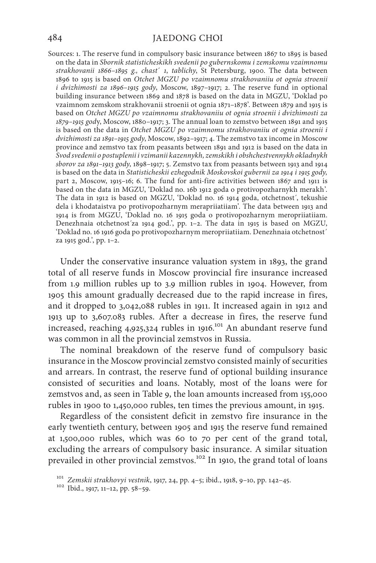Sources: 1. The reserve fund in compulsory basic insurance between 1867 to 1895 is based on the data in *Sbornik statisticheskikh svedenii po gubernskomu i zemskomu vzaimnomu strakhovanii 1866–1895 g., chast*´ *1*, *tablichy*, St Petersburg, 1900. The data between 1896 to 1915 is based on *Otchet MGZU po vzaimnomu strakhovaniiu ot ognia stroenii i dvizhimosti za 1896–1915 gody*, Мoscow, 1897–1917; 2. The reserve fund in optional building insurance between 1869 and 1878 is based on the data in MGZU, 'Doklad po vzaimnom zemskom strakhovanii stroenii ot ognia 1871–1878'. Between 1879 and 1915 is based on *Otchet MGZU po vzaimnomu strakhovaniiu ot ognia stroenii i dvizhimosti za 1879–1915 god*y, Мoscow, 1880–1917; 3. The annual loan to zemstvo between 1891 and 1915 is based on the data in *Otchet MGZU po vzaimnomu strakhovaniiu ot ognia stroenii i dvizhimosti za 1891–1915 gody*, Мoscow, 1892–1917; 4. The zemstvo tax income in Moscow province and zemstvo tax from peasants between 1891 and 1912 is based on the data in *Svod svedenii o postuplenii i vzimanii kazennykh, zemskikh i obshchestvennykh okladnykh sborov za 1891–1913 gody*, 1898–1917; 5. Zemstvo tax from peasants between 1913 and 1914 is based on the data in *Statisticheskii ezhegodnik Moskovskoi gubernii za 1914 i 1915 gody,*  part 2, Moscow, 1915-16; 6. The fund for anti-fire activities between 1867 and 1911 is based on the data in MGZU, 'Doklad no. 16b 1912 goda o protivopozharnykh merakh'. The data in 1912 is based on MGZU, 'Doklad no. 16 1914 goda, otchetnost´, tekushie dela i khodataistva po protivopozharnym merapriiatiiam'. The data between 1913 and 1914 is from MGZU, 'Doklad no. 16 1915 goda o protivopozharnym meropriiatiiam. Denezhnaia otchetnost´za 1914 god.', pp. 1–2. The data in 1915 is based on MGZU, 'Doklad no. 16 1916 goda po protivopozharnym meropriiatiiam. Denezhnaia otchetnost´ za 1915 god.', pp. 1–2.

Under the conservative insurance valuation system in 1893, the grand total of all reserve funds in Moscow provincial fire insurance increased from 1.9 million rubles up to 3.9 million rubles in 1904. However, from 1905 this amount gradually decreased due to the rapid increase in fires, and it dropped to 3,042,088 rubles in 1911. It increased again in 1912 and 1913 up to 3,607.083 rubles. After a decrease in fires, the reserve fund increased, reaching 4,925,324 rubles in 1916.<sup>101</sup> An abundant reserve fund was common in all the provincial zemstvos in Russia.

The nominal breakdown of the reserve fund of compulsory basic insurance in the Moscow provincial zemstvo consisted mainly of securities and arrears. In contrast, the reserve fund of optional building insurance consisted of securities and loans. Notably, most of the loans were for zemstvos and, as seen in Table 9, the loan amounts increased from 155,000 rubles in 1900 to 1,450,000 rubles, ten times the previous amount, in 1915.

Regardless of the consistent deficit in zemstvo fire insurance in the early twentieth century, between 1905 and 1915 the reserve fund remained at 1,500,000 rubles, which was 60 to 70 per cent of the grand total, excluding the arrears of compulsory basic insurance. A similar situation prevailed in other provincial zemstvos.<sup>102</sup> In 1910, the grand total of loans

<sup>101</sup> *Zemskii strakhovyi vestnik*, 1917, 24, pp. 4–5; ibid., 1918, 9–10, pp. 142–45. <sup>102</sup> Ibid., 1917, 11–12, pp. 58–59.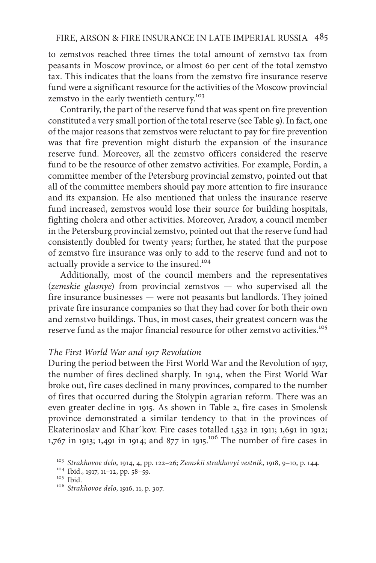to zemstvos reached three times the total amount of zemstvo tax from peasants in Moscow province, or almost 60 per cent of the total zemstvo tax. This indicates that the loans from the zemstvo fire insurance reserve fund were a significant resource for the activities of the Moscow provincial zemstvo in the early twentieth century.<sup>103</sup>

Contrarily, the part of the reserve fund that was spent on fire prevention constituted a very small portion of the total reserve (see Table 9). In fact, one of the major reasons that zemstvos were reluctant to pay for fire prevention was that fire prevention might disturb the expansion of the insurance reserve fund. Moreover, all the zemstvo officers considered the reserve fund to be the resource of other zemstvo activities. For example, Fordin, a committee member of the Petersburg provincial zemstvo, pointed out that all of the committee members should pay more attention to fire insurance and its expansion. He also mentioned that unless the insurance reserve fund increased, zemstvos would lose their source for building hospitals, fighting cholera and other activities. Moreover, Aradov, a council member in the Petersburg provincial zemstvo, pointed out that the reserve fund had consistently doubled for twenty years; further, he stated that the purpose of zemstvo fire insurance was only to add to the reserve fund and not to actually provide a service to the insured.<sup>104</sup>

Additionally, most of the council members and the representatives (*zemskie glasnye*) from provincial zemstvos — who supervised all the fire insurance businesses — were not peasants but landlords. They joined private fire insurance companies so that they had cover for both their own and zemstvo buildings. Thus, in most cases, their greatest concern was the reserve fund as the major financial resource for other zemstvo activities.<sup>105</sup>

## *The First World War and 1917 Revolution*

During the period between the First World War and the Revolution of 1917, the number of fires declined sharply. In 1914, when the First World War broke out, fire cases declined in many provinces, compared to the number of fires that occurred during the Stolypin agrarian reform. There was an even greater decline in 1915. As shown in Table 2, fire cases in Smolensk province demonstrated a similar tendency to that in the provinces of Ekaterinoslav and Khar´kov. Fire cases totalled 1,532 in 1911; 1,691 in 1912;  $1,767$  in 1913; 1,491 in 1914; and 877 in 1915.<sup>106</sup> The number of fire cases in

<sup>103</sup> *Strakhovoe delo*, 1914, 4, pp. 122–26; *Zemskii strakhovyi vestnik*, 1918, 9–10, p. 144. <sup>104</sup> Ibid., 1917, 11–12, pp. 58–59. <sup>105</sup> Ibid. <sup>106</sup> *Strakhovoe delo*, 1916, 11, p. 307.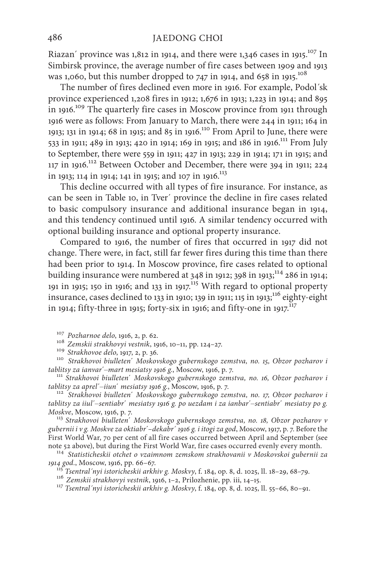Riazan' province was  $1,812$  in 1914, and there were  $1,346$  cases in 1915.<sup>107</sup> In Simbirsk province, the average number of fire cases between 1909 and 1913 was 1,060, but this number dropped to 747 in 1914, and 658 in 1915.<sup>108</sup>

The number of fires declined even more in 1916. For example, Podol´sk province experienced 1,208 fires in 1912; 1,676 in 1913; 1,223 in 1914; and 895 in 1916.109 The quarterly fire cases in Moscow province from 1911 through 1916 were as follows: From January to March, there were 244 in 1911; 164 in 1913; 131 in 1914; 68 in 1915; and 85 in 1916.110 From April to June, there were 533 in 1911; 489 in 1913; 420 in 1914; 169 in 1915; and 186 in 1916.<sup>111</sup> From July to September, there were 559 in 1911; 427 in 1913; 229 in 1914; 171 in 1915; and 117 in 1916.112 Between October and December, there were 394 in 1911; 224 in 1913; 114 in 1914; 141 in 1915; and 107 in 1916.<sup>113</sup>

This decline occurred with all types of fire insurance. For instance, as can be seen in Table 10, in Tver´ province the decline in fire cases related to basic compulsory insurance and additional insurance began in 1914, and this tendency continued until 1916. A similar tendency occurred with optional building insurance and optional property insurance.

Compared to 1916, the number of fires that occurred in 1917 did not change. There were, in fact, still far fewer fires during this time than there had been prior to 1914. In Moscow province, fire cases related to optional building insurance were numbered at  $348$  in 1912;  $398$  in 1913;  $^{114}$  286 in 1914; 191 in 1915; 150 in 1916; and 133 in 1917.<sup>115</sup> With regard to optional property insurance, cases declined to 133 in 1910; 139 in 1911; 115 in 1913; $^{116}$  eighty-eight in 1914; fifty-three in 1915; forty-six in 1916; and fifty-one in 1917. $^{\rm{I17}}$ 

<sup>107</sup> Pozharnoe delo, 1916, 2, p. 62.<br><sup>108</sup> Zemskii strakhovyi vestnik, 1916, 10–11, pp. 124–27.<br><sup>109</sup> Strakhovoe delo, 1917, 2, p. 36.<br><sup>110</sup> Strakhovoi biulleten' Moskovskogo gubernskogo zemstva, no. 15, Obzor pozharov i

*tablitsy za ianvar*´–*mart mesiatsy 1916 g.*, <sup>М</sup>oscow, 1916, p. 7. 111 *Strakhovoi biulleten*´ *Moskovskogo gubernskogo zemstva, no. 16, Obzor pozharov i* 

*tablitsy za aprel*´–*iiun*´ *mesiatsy 1916 g.*, Мoscow, 1916, p. 7. <sup>112</sup> *Strakhovoi biulleten*´ *Moskovskogo gubernskogo zemstva, no. 17, Obzor pozharov i tablitsy za iiul*´–*sentiabr*´ *mesiatsy 1916 g. po uezdam i za ianbar*´–*sentiabr*´ *mesiatsy po g.* 

*Moskve*, Мoscow, 1916, p. 7. <sup>113</sup> *Strakhovoi biulleten*´ *Moskovskogo gubernskogo zemstva, no. 18, Obzor pozharov v gubernii i v g. Moskve za oktiabr*´–*dekabr´ 1916 g. i itogi za god*, Мoscow, 1917, p. 7. Before the First World War, 70 per cent of all fire cases occurred between April and September (see note 52 above), but during the First World War, fire cases occurred evenly every month.

<sup>114</sup> Statisticheskii otchet o vzaimnom zemskom strakhovanii v Moskovskoi gubernii za<br>1914 god., Moscow, 1916, pp. 66–67.<br><sup>115</sup> Turing Lines

<sup>115</sup> Tsentral´nyi istoricheskii arkhiv g. Moskvy, f. 184, op. 8, d. 1025, ll. 18–29, 68–79.<br><sup>116</sup> Zemskii strakhovyi vestnik, 1916, 1–2, Prilozhenie, pp. iii, 14–15.<br><sup>117</sup> Tsentral´nyi istoricheskii arkhiv g. Moskvy, f. 1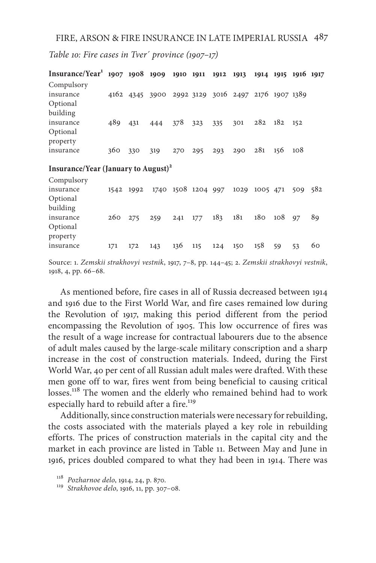*Table 10: Fire cases in Tver´ province (1907–17)*

| $Insurance/Year^1$ 1907 1908 1909 1910 1911 1912 |           |     |                                                   |     |                    |     | 1913 |          | 1914 1915 1916 1917 |     |     |
|--------------------------------------------------|-----------|-----|---------------------------------------------------|-----|--------------------|-----|------|----------|---------------------|-----|-----|
| Compulsory                                       |           |     |                                                   |     |                    |     |      |          |                     |     |     |
| insurance                                        |           |     | 4162 4345 3900 2992 3129 3016 2497 2176 1907 1389 |     |                    |     |      |          |                     |     |     |
| Optional                                         |           |     |                                                   |     |                    |     |      |          |                     |     |     |
| building                                         |           |     |                                                   |     |                    |     |      |          |                     |     |     |
| insurance                                        | 489       | 431 | 444                                               | 378 | 323                | 335 | 301  | 282      | 182                 | 152 |     |
| Optional                                         |           |     |                                                   |     |                    |     |      |          |                     |     |     |
| property                                         |           |     |                                                   |     |                    |     |      |          |                     |     |     |
| insurance                                        | 360       | 330 | 319                                               | 270 | 295                | 293 | 290  | 281      | 156                 | 108 |     |
| Insurance/Year (January to August) <sup>2</sup>  |           |     |                                                   |     |                    |     |      |          |                     |     |     |
| Compulsory                                       |           |     |                                                   |     |                    |     |      |          |                     |     |     |
| insurance                                        | 1542 1992 |     |                                                   |     | 1740 1508 1204 997 |     | 1029 | 1005 471 |                     | 509 | 582 |
| Optional                                         |           |     |                                                   |     |                    |     |      |          |                     |     |     |
| building                                         |           |     |                                                   |     |                    |     |      |          |                     |     |     |
| insurance                                        | 260       | 275 | 259                                               | 241 | 177                | 183 | 181  | 180      | 108                 | 97  | 89  |
| Optional                                         |           |     |                                                   |     |                    |     |      |          |                     |     |     |

Source: 1. *Zemskii strakhovyi vestnik*, 1917, 7–8, pp. 144–45; 2. *Zemskii strakhovyi vestnik*, 1918, 4, pp. 66–68.

insurance 171 172 143 136 115 124 150 158 59 53 60

As mentioned before, fire cases in all of Russia decreased between 1914 and 1916 due to the First World War, and fire cases remained low during the Revolution of 1917, making this period different from the period encompassing the Revolution of 1905. This low occurrence of fires was the result of a wage increase for contractual labourers due to the absence of adult males caused by the large-scale military conscription and a sharp increase in the cost of construction materials. Indeed, during the First World War, 40 per cent of all Russian adult males were drafted. With these men gone off to war, fires went from being beneficial to causing critical losses.<sup>118</sup> The women and the elderly who remained behind had to work especially hard to rebuild after a fire.<sup>119</sup>

Additionally, since construction materials were necessary for rebuilding, the costs associated with the materials played a key role in rebuilding efforts. The prices of construction materials in the capital city and the market in each province are listed in Table 11. Between May and June in 1916, prices doubled compared to what they had been in 1914. There was

property

<sup>118</sup> *Pozharnoe delo*, 1914, 24, p. 870. <sup>119</sup> *Strakhovoe delo*, 1916, 11, pp. 307–08.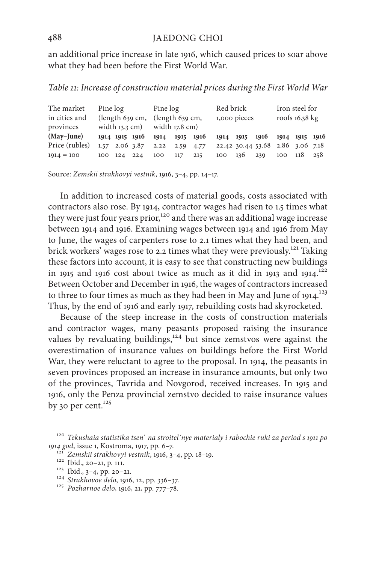an additional price increase in late 1916, which caused prices to soar above what they had been before the First World War.

*Table 11: Increase of construction material prices during the First World War*

| The market<br>in cities and<br>provinces | Pine log<br>$\left( \text{length } 639 \text{ cm}, \right.$ $\left( \text{length } 639 \text{ cm}, \right.$<br>width $13.3$ cm) width $17.8$ cm) |             | Pine log |     |     | Red brick<br>1,000 pieces                                      |             |  | Iron steel for<br>roofs 16.38 kg |  |             |  |
|------------------------------------------|--------------------------------------------------------------------------------------------------------------------------------------------------|-------------|----------|-----|-----|----------------------------------------------------------------|-------------|--|----------------------------------|--|-------------|--|
| $(May-June)$                             |                                                                                                                                                  |             |          |     |     | 1914 1915 1916 1914 1915 1916 1914 1915 1916 1914 1915 1916    |             |  |                                  |  |             |  |
| Price (rubles)                           |                                                                                                                                                  |             |          |     |     | 1.57 2.06 3.87 2.22 2.59 4.77 22.42 30.44 53.68 2.86 3.06 7.18 |             |  |                                  |  |             |  |
| $1914 = 100$                             |                                                                                                                                                  | 100 124 224 |          | 100 | 117 | 215                                                            | 100 136 239 |  |                                  |  | 100 118 258 |  |

Source: *Zemskii strakhovyi vestnik*, 1916, 3–4, pp. 14–17.

In addition to increased costs of material goods, costs associated with contractors also rose. By 1914, contractor wages had risen to 1.5 times what they were just four years prior,<sup>120</sup> and there was an additional wage increase between 1914 and 1916. Examining wages between 1914 and 1916 from May to June, the wages of carpenters rose to 2.1 times what they had been, and brick workers' wages rose to 2.2 times what they were previously.<sup>121</sup> Taking these factors into account, it is easy to see that constructing new buildings in 1915 and 1916 cost about twice as much as it did in 1913 and 1914.<sup>122</sup> Between October and December in 1916, the wages of contractors increased to three to four times as much as they had been in May and June of 1914.<sup>123</sup> Thus, by the end of 1916 and early 1917, rebuilding costs had skyrocketed.

Because of the steep increase in the costs of construction materials and contractor wages, many peasants proposed raising the insurance values by revaluating buildings,<sup>124</sup> but since zemstvos were against the overestimation of insurance values on buildings before the First World War, they were reluctant to agree to the proposal. In 1914, the peasants in seven provinces proposed an increase in insurance amounts, but only two of the provinces, Tavrida and Novgorod, received increases. In 1915 and 1916, only the Penza provincial zemstvo decided to raise insurance values by 30 per cent. $125$ 

<sup>120</sup> *Tekushaia statistika tsen*´ *na stroitel´nye materialy i rabochie ruki za period s 1911 po*  1914 god, issue 1, Kostroma, 1917, pp. 6–7.<br>
<sup>121</sup> Zemskii strakhovyi vestnik, 1916, 3–4, pp. 18–19.<br>
<sup>122</sup> Ibid., 20–21, p. 111.<br>
<sup>123</sup> Ibid., 3–4, pp. 20–21.<br>
<sup>124</sup> Strakhovoe delo, 1916, 12, pp. 336–37.<br>
<sup>125</sup> Pozharnoe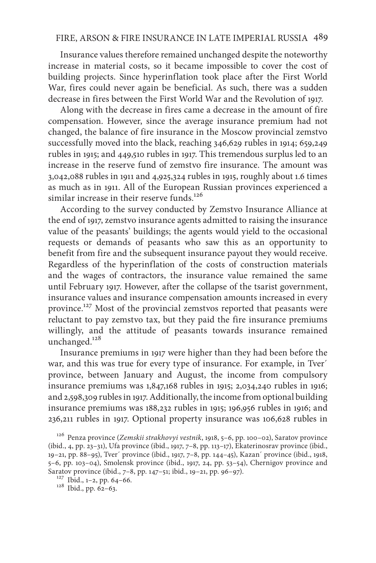## FIRE, ARSON & FIRE INSURANCE IN LATE IMPERIAL RUSSIA 489

Insurance values therefore remained unchanged despite the noteworthy increase in material costs, so it became impossible to cover the cost of building projects. Since hyperinflation took place after the First World War, fires could never again be beneficial. As such, there was a sudden decrease in fires between the First World War and the Revolution of 1917.

Along with the decrease in fires came a decrease in the amount of fire compensation. However, since the average insurance premium had not changed, the balance of fire insurance in the Moscow provincial zemstvo successfully moved into the black, reaching 346,629 rubles in 1914; 659,249 rubles in 1915; and 449,510 rubles in 1917. This tremendous surplus led to an increase in the reserve fund of zemstvo fire insurance. The amount was 3,042,088 rubles in 1911 and 4,925,324 rubles in 1915, roughly about 1.6 times as much as in 1911. All of the European Russian provinces experienced a similar increase in their reserve funds.<sup>126</sup>

According to the survey conducted by Zemstvo Insurance Alliance at the end of 1917, zemstvo insurance agents admitted to raising the insurance value of the peasants' buildings; the agents would yield to the occasional requests or demands of peasants who saw this as an opportunity to benefit from fire and the subsequent insurance payout they would receive. Regardless of the hyperinflation of the costs of construction materials and the wages of contractors, the insurance value remained the same until February 1917. However, after the collapse of the tsarist government, insurance values and insurance compensation amounts increased in every province.127 Most of the provincial zemstvos reported that peasants were reluctant to pay zemstvo tax, but they paid the fire insurance premiums willingly, and the attitude of peasants towards insurance remained unchanged.<sup>128</sup>

Insurance premiums in 1917 were higher than they had been before the war, and this was true for every type of insurance. For example, in Tver´ province, between January and August, the income from compulsory insurance premiums was 1,847,168 rubles in 1915; 2,034,240 rubles in 1916; and 2,598,309 rubles in 1917. Additionally, the income from optional building insurance premiums was 188,232 rubles in 1915; 196,956 rubles in 1916; and 236,211 rubles in 1917. Optional property insurance was 106,628 rubles in

<sup>126</sup> Penza province (*Zemskii strakhovyi vestnik*, 1918, 5–6, pp. 100–02), Saratov province (ibid., 4, pp. 23–31), Ufa province (ibid., 1917, 7–8, pp. 113–17), Ekaterinosrav province (ibid., 19–21, pp. 88–95), Tver´ province (ibid., 1917, 7–8, pp. 144–45), Kazan´ province (ibid., 1918, 5–6, pp. 103–04), Smolensk province (ibid., 1917, 24, pp. 53–54), Chernigov province and Saratov province (ibid., 7–8, pp. 147–51; ibid., 19–21, pp. 96–97).<br><sup>127</sup> Ibid., 1–2, pp. 64–66.<br><sup>128</sup> Ibid., pp. 62–63.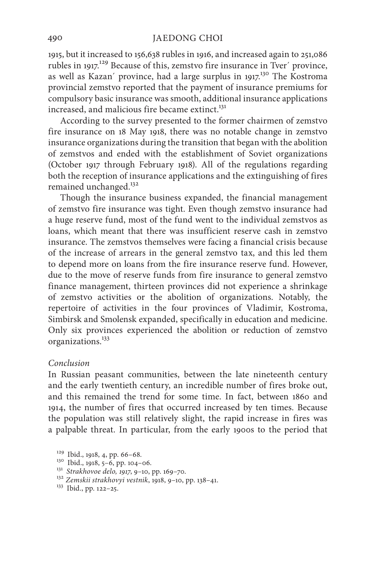1915, but it increased to 156,638 rubles in 1916, and increased again to 251,086 rubles in 1917.<sup>129</sup> Because of this, zemstvo fire insurance in Tver' province, as well as Kazan´ province, had a large surplus in 1917.<sup>130</sup> The Kostroma provincial zemstvo reported that the payment of insurance premiums for compulsory basic insurance was smooth, additional insurance applications increased, and malicious fire became extinct.<sup>131</sup>

According to the survey presented to the former chairmen of zemstvo fire insurance on 18 May 1918, there was no notable change in zemstvo insurance organizations during the transition that began with the abolition of zemstvos and ended with the establishment of Soviet organizations (October 1917 through February 1918). All of the regulations regarding both the reception of insurance applications and the extinguishing of fires remained unchanged.<sup>132</sup>

Though the insurance business expanded, the financial management of zemstvo fire insurance was tight. Even though zemstvo insurance had a huge reserve fund, most of the fund went to the individual zemstvos as loans, which meant that there was insufficient reserve cash in zemstvo insurance. The zemstvos themselves were facing a financial crisis because of the increase of arrears in the general zemstvo tax, and this led them to depend more on loans from the fire insurance reserve fund. However, due to the move of reserve funds from fire insurance to general zemstvo finance management, thirteen provinces did not experience a shrinkage of zemstvo activities or the abolition of organizations. Notably, the repertoire of activities in the four provinces of Vladimir, Kostroma, Simbirsk and Smolensk expanded, specifically in education and medicine. Only six provinces experienced the abolition or reduction of zemstvo organizations.133

#### *Conclusion*

In Russian peasant communities, between the late nineteenth century and the early twentieth century, an incredible number of fires broke out, and this remained the trend for some time. In fact, between 1860 and 1914, the number of fires that occurred increased by ten times. Because the population was still relatively slight, the rapid increase in fires was a palpable threat. In particular, from the early 1900s to the period that

<sup>129</sup> Ibid., 1918, 4, pp. 66–68. <sup>130</sup> Ibid., 1918, 5–6, pp. 104–06. <sup>131</sup> *Strakhovoe delo, 1917*, 9–10, pp. 169–70. <sup>132</sup> *Zemskii strakhovyi vestnik*, 1918, 9–10, pp. 138–41. 133 Ibid., pp. 122–25.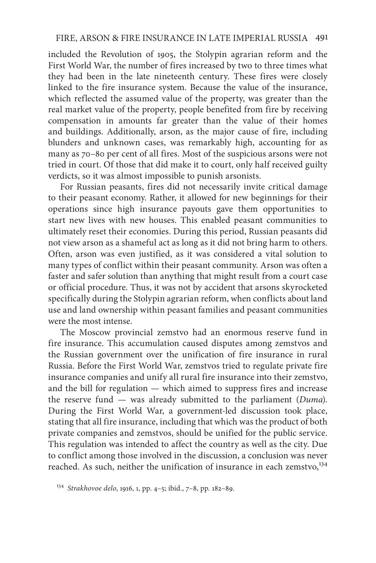included the Revolution of 1905, the Stolypin agrarian reform and the First World War, the number of fires increased by two to three times what they had been in the late nineteenth century. These fires were closely linked to the fire insurance system. Because the value of the insurance, which reflected the assumed value of the property, was greater than the real market value of the property, people benefited from fire by receiving compensation in amounts far greater than the value of their homes and buildings. Additionally, arson, as the major cause of fire, including blunders and unknown cases, was remarkably high, accounting for as many as 70–80 per cent of all fires. Most of the suspicious arsons were not tried in court. Of those that did make it to court, only half received guilty verdicts, so it was almost impossible to punish arsonists.

For Russian peasants, fires did not necessarily invite critical damage to their peasant economy. Rather, it allowed for new beginnings for their operations since high insurance payouts gave them opportunities to start new lives with new houses. This enabled peasant communities to ultimately reset their economies. During this period, Russian peasants did not view arson as a shameful act as long as it did not bring harm to others. Often, arson was even justified, as it was considered a vital solution to many types of conflict within their peasant community. Arson was often a faster and safer solution than anything that might result from a court case or official procedure. Thus, it was not by accident that arsons skyrocketed specifically during the Stolypin agrarian reform, when conflicts about land use and land ownership within peasant families and peasant communities were the most intense.

The Moscow provincial zemstvo had an enormous reserve fund in fire insurance. This accumulation caused disputes among zemstvos and the Russian government over the unification of fire insurance in rural Russia. Before the First World War, zemstvos tried to regulate private fire insurance companies and unify all rural fire insurance into their zemstvo, and the bill for regulation — which aimed to suppress fires and increase the reserve fund — was already submitted to the parliament (*Duma*). During the First World War, a government-led discussion took place, stating that all fire insurance, including that which was the product of both private companies and zemstvos, should be unified for the public service. This regulation was intended to affect the country as well as the city. Due to conflict among those involved in the discussion, a conclusion was never reached. As such, neither the unification of insurance in each zemstvo,<sup>134</sup>

<sup>134</sup> *Strakhovoe delo*, 1916, 1, pp. 4–5; ibid., 7–8, pp. 182–89.